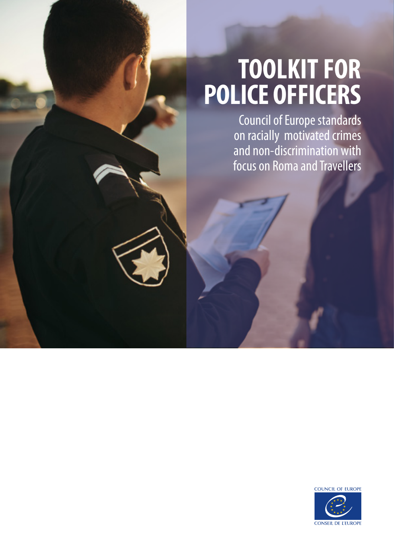# **TOOLKIT FOR POLICE OFFICERS**

Council of Europe standards on racially motivated crimes and non-discrimination with focus on Roma and Travellers

> **COUNCIL OF EUROPE CONSEIL DE L'EUROPE**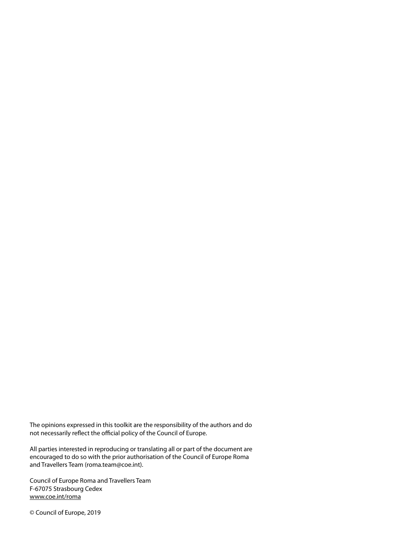The opinions expressed in this toolkit are the responsibility of the authors and do not necessarily reflect the official policy of the Council of Europe.

All parties interested in reproducing or translating all or part of the document are encouraged to do so with the prior authorisation of the Council of Europe Roma and Travellers Team (roma.team@coe.int).

Council of Europe Roma and Travellers Team F-67075 Strasbourg Cedex www.coe.int/roma

© Council of Europe, 2019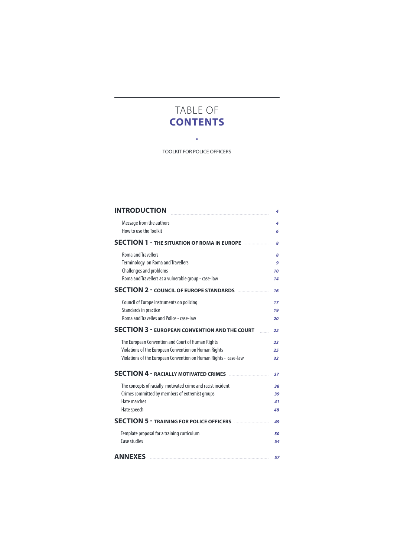# TABLE OF **CONTENTS**

 $\sim$   $\bullet$ TOOLKIT FOR POLICE OFFICERS

| <b>INTRODUCTION</b>                                                                                                                                                            | 4                    |
|--------------------------------------------------------------------------------------------------------------------------------------------------------------------------------|----------------------|
| Message from the authors<br>How to use the Toolkit                                                                                                                             | 4<br>6               |
| <b>SECTION 1 - THE SITUATION OF ROMA IN EUROPE </b>                                                                                                                            | 8                    |
| <b>Roma and Travellers</b><br>Terminology on Roma and Travellers<br>Challenges and problems<br>Roma and Travellers as a vulnerable group - case-law                            | 8<br>9<br>10<br>14   |
| <b>SECTION 2 - COUNCIL OF EUROPE STANDARDS</b>                                                                                                                                 | 16                   |
| Council of Europe instruments on policing<br>Standards in practice<br>Roma and Travelles and Police - case-law                                                                 | 17<br>19<br>20       |
| <b>SECTION 3 - EUROPEAN CONVENTION AND THE COURT</b>                                                                                                                           | 22                   |
| The European Convention and Court of Human Rights<br>Violations of the European Convention on Human Rights<br>Violations of the European Convention on Human Rights - case-law | 23<br>25<br>32       |
| <b>SECTION 4 - RACIALLY MOTIVATED CRIMES</b>                                                                                                                                   | 37                   |
| The concepts of racially motivated crime and racist incident<br>Crimes committed by members of extremist groups<br>Hate marches<br>Hate speech                                 | 38<br>39<br>41<br>48 |
| <b>SECTION 5 - TRAINING FOR POLICE OFFICERS</b>                                                                                                                                | 49                   |
| Template proposal for a training curriculum<br>Case studies                                                                                                                    | 50<br>54             |
| <b>ANNEXES</b>                                                                                                                                                                 | 57                   |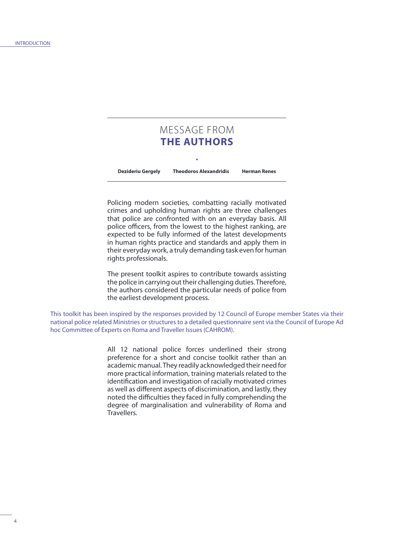# MESSAGE FROM **THE AUTHORS**

**Dezideriu Gergely Theodoros Alexandridis Herman Renes**

Policing modern societies, combatting racially motivated crimes and upholding human rights are three challenges that police are confronted with on an everyday basis. All police officers, from the lowest to the highest ranking, are expected to be fully informed of the latest developments in human rights practice and standards and apply them in their everyday work, a truly demanding task even for human rights professionals.

The present toolkit aspires to contribute towards assisting the police in carrying out their challenging duties. Therefore, the authors considered the particular needs of police from the earliest development process.

This toolkit has been inspired by the responses provided by 12 Council of Europe member States via their national police related Ministries or structures to a detailed questionnaire sent via the Council of Europe Ad hoc Committee of Experts on Roma and Traveller Issues (CAHROM).

> All 12 national police forces underlined their strong preference for a short and concise toolkit rather than an academic manual. They readily acknowledged their need for more practical information, training materials related to the identification and investigation of racially motivated crimes as well as different aspects of discrimination, and lastly, they noted the difficulties they faced in fully comprehending the degree of marginalisation and vulnerability of Roma and Travellers.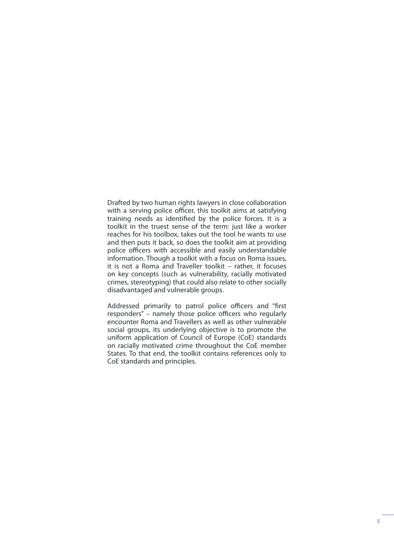Drafted by two human rights lawyers in close collaboration with a serving police officer, this toolkit aims at satisfying training needs as identified by the police forces. It is a toolkit in the truest sense of the term: just like a worker reaches for his toolbox, takes out the tool he wants to use and then puts it back, so does the toolkit aim at providing police officers with accessible and easily understandable information. Though a toolkit with a focus on Roma issues, it is not a Roma and Traveller toolkit – rather, it focuses on key concepts (such as vulnerability, racially motivated crimes, stereotyping) that could also relate to other socially disadvantaged and vulnerable groups.

Addressed primarily to patrol police officers and "first responders" – namely those police officers who regularly encounter Roma and Travellers as well as other vulnerable social groups, its underlying objective is to promote the uniform application of Council of Europe (CoE) standards on racially motivated crime throughout the CoE member States. To that end, the toolkit contains references only to CoE standards and principles.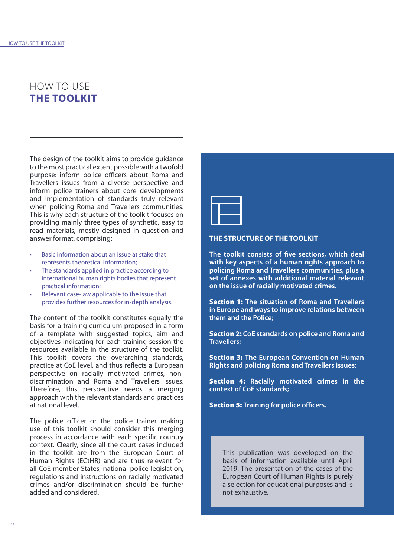# HOW TO USE **THE TOOLKIT**

The design of the toolkit aims to provide guidance to the most practical extent possible with a twofold purpose: inform police officers about Roma and Travellers issues from a diverse perspective and inform police trainers about core developments and implementation of standards truly relevant when policing Roma and Travellers communities. This is why each structure of the toolkit focuses on providing mainly three types of synthetic, easy to read materials, mostly designed in question and answer format, comprising:

- Basic information about an issue at stake that represents theoretical information;
- The standards applied in practice according to international human rights bodies that represent practical information;
- Relevant case-law applicable to the issue that provides further resources for in-depth analysis.

The content of the toolkit constitutes equally the basis for a training curriculum proposed in a form of a template with suggested topics, aim and objectives indicating for each training session the resources available in the structure of the toolkit. This toolkit covers the overarching standards, practice at CoE level, and thus reflects a European perspective on racially motivated crimes, nondiscrimination and Roma and Travellers issues. Therefore, this perspective needs a merging approach with the relevant standards and practices at national level.

The police officer or the police trainer making use of this toolkit should consider this merging process in accordance with each specific country context. Clearly, since all the court cases included in the toolkit are from the European Court of Human Rights (ECtHR) and are thus relevant for all CoE member States, national police legislation, regulations and instructions on racially motivated crimes and/or discrimination should be further added and considered.



#### **THE STRUCTURE OF THE TOOLKIT**

**The toolkit consists of five sections, which deal with key aspects of a human rights approach to policing Roma and Travellers communities, plus a set of annexes with additional material relevant on the issue of racially motivated crimes.**

Section 1: **The situation of Roma and Travellers in Europe and ways to improve relations between them and the Police;**

Section 2: **CoE standards on police and Roma and Travellers;**

Section 3: **The European Convention on Human Rights and policing Roma and Travellers issues;**

Section 4: **Racially motivated crimes in the context of CoE standards;** 

Section 5: **Training for police officers.**

This publication was developed on the basis of information available until April 2019. The presentation of the cases of the European Court of Human Rights is purely a selection for educational purposes and is not exhaustive.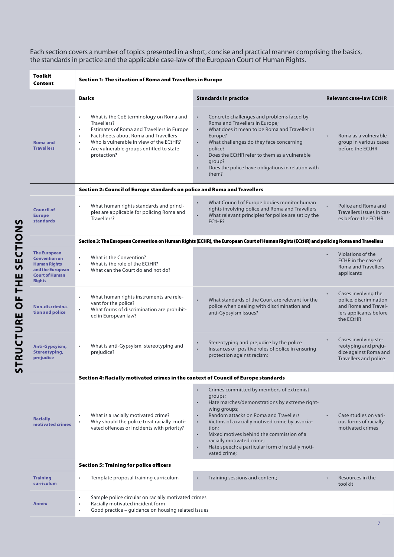Each section covers a number of topics presented in a short, concise and practical manner comprising the basics, the standards in practice and the applicable case-law of the European Court of Human Rights.

| Toolkit<br>Content                                                                                                               | Section 1: The situation of Roma and Travellers in Europe                                                                                                                                                                                                                                                  |                                                                                                                                                                                                                                                                                                                                                                                                                                         |                                                                                                                           |  |  |  |  |
|----------------------------------------------------------------------------------------------------------------------------------|------------------------------------------------------------------------------------------------------------------------------------------------------------------------------------------------------------------------------------------------------------------------------------------------------------|-----------------------------------------------------------------------------------------------------------------------------------------------------------------------------------------------------------------------------------------------------------------------------------------------------------------------------------------------------------------------------------------------------------------------------------------|---------------------------------------------------------------------------------------------------------------------------|--|--|--|--|
|                                                                                                                                  | <b>Basics</b>                                                                                                                                                                                                                                                                                              | <b>Standards in practice</b>                                                                                                                                                                                                                                                                                                                                                                                                            | <b>Relevant case-law ECtHR</b>                                                                                            |  |  |  |  |
| <b>Roma and</b><br><b>Travellers</b>                                                                                             | What is the CoE terminology on Roma and<br>$\bullet$<br>Travellers?<br>Estimates of Roma and Travellers in Europe<br>٠<br>Factsheets about Roma and Travellers<br>$\bullet$<br>Who is vulnerable in view of the ECtHR?<br>$\bullet$<br>Are vulnerable groups entitled to state<br>$\bullet$<br>protection? | Concrete challenges and problems faced by<br>$\bullet$<br>Roma and Travellers in Europe;<br>What does it mean to be Roma and Traveller in<br>$\bullet$<br>Europe?<br>What challenges do they face concerning<br>$\bullet$<br>police?<br>Does the ECtHR refer to them as a vulnerable<br>$\bullet$<br>aroup?<br>Does the police have obligations in relation with<br>$\bullet$<br>them?                                                  | Roma as a vulnerable<br>group in various cases<br>before the ECtHR                                                        |  |  |  |  |
|                                                                                                                                  | Section 2: Council of Europe standards on police and Roma and Travellers                                                                                                                                                                                                                                   |                                                                                                                                                                                                                                                                                                                                                                                                                                         |                                                                                                                           |  |  |  |  |
| <b>Council of</b><br><b>Europe</b><br><b>standards</b>                                                                           | What human rights standards and princi-<br>$\bullet$<br>ples are applicable for policing Roma and<br>Travellers?                                                                                                                                                                                           | What Council of Europe bodies monitor human<br>$\bullet$<br>rights involving police and Roma and Travellers<br>What relevant principles for police are set by the<br>$\bullet$<br>ECtHR?                                                                                                                                                                                                                                                | Police and Roma and<br>Travellers issues in cas-<br>es before the ECtHR                                                   |  |  |  |  |
|                                                                                                                                  |                                                                                                                                                                                                                                                                                                            | Section 3: The European Convention on Human Rights (ECHR), the European Court of Human Rights (ECtHR) and policing Roma and Travellers                                                                                                                                                                                                                                                                                                  |                                                                                                                           |  |  |  |  |
| <b>The European</b><br><b>Convention on</b><br><b>Human Rights</b><br>and the European<br><b>Court of Human</b><br><b>Rights</b> | What is the Convention?<br>$\bullet$<br>What is the role of the ECtHR?<br>$\bullet$<br>What can the Court do and not do?<br>$\ddot{\phantom{0}}$                                                                                                                                                           |                                                                                                                                                                                                                                                                                                                                                                                                                                         | Violations of the<br>FCHR in the case of<br><b>Roma and Travellers</b><br>applicants                                      |  |  |  |  |
| Non-discrimina-<br>tion and police                                                                                               | What human rights instruments are rele-<br>$\bullet$<br>vant for the police?<br>What forms of discrimination are prohibit-<br>$\bullet$<br>ed in European law?                                                                                                                                             | What standards of the Court are relevant for the<br>$\bullet$<br>police when dealing with discrimination and<br>anti-Gypsyism issues?                                                                                                                                                                                                                                                                                                   | Cases involving the<br>$\bullet$<br>police, discrimination<br>and Roma and Travel-<br>lers applicants before<br>the ECtHR |  |  |  |  |
| Anti-Gypsyism,<br><b>Stereotyping,</b><br>prejudice                                                                              | What is anti-Gypsyism, stereotyping and<br>$\bullet$<br>prejudice?                                                                                                                                                                                                                                         | Stereotyping and prejudice by the police<br>$\bullet$<br>Instances of positive roles of police in ensuring<br>protection against racism;                                                                                                                                                                                                                                                                                                | Cases involving ste-<br>$\bullet$<br>reotyping and preju-<br>dice against Roma and<br>Travellers and police               |  |  |  |  |
|                                                                                                                                  | Section 4: Racially motivated crimes in the context of Council of Europe standards                                                                                                                                                                                                                         |                                                                                                                                                                                                                                                                                                                                                                                                                                         |                                                                                                                           |  |  |  |  |
| <b>Racially</b><br>motivated crimes                                                                                              | What is a racially motivated crime?<br>$\bullet$<br>Why should the police treat racially moti-<br>٠<br>vated offences or incidents with priority?                                                                                                                                                          | Crimes committed by members of extremist<br>$\bullet$<br>groups;<br>Hate marches/demonstrations by extreme right-<br>$\bullet$<br>wing groups;<br>Random attacks on Roma and Travellers<br>Victims of a racially motived crime by associa-<br>$\bullet$<br>tion;<br>Mixed motives behind the commission of a<br>$\bullet$<br>racially motivated crime;<br>Hate speech: a particular form of racially moti-<br>$\bullet$<br>vated crime; | Case studies on vari-<br>ous forms of racially<br>motivated crimes                                                        |  |  |  |  |
|                                                                                                                                  | <b>Section 5: Training for police officers</b>                                                                                                                                                                                                                                                             |                                                                                                                                                                                                                                                                                                                                                                                                                                         |                                                                                                                           |  |  |  |  |
| <b>Training</b><br>curriculum                                                                                                    | Template proposal training curriculum<br>$\bullet$                                                                                                                                                                                                                                                         | Training sessions and content;<br>$\bullet$                                                                                                                                                                                                                                                                                                                                                                                             | Resources in the<br>toolkit                                                                                               |  |  |  |  |
| Annex                                                                                                                            | Sample police circular on racially motivated crimes<br>$\bullet$<br>Racially motivated incident form<br>٠<br>Good practice - guidance on housing related issues<br>$\bullet$                                                                                                                               |                                                                                                                                                                                                                                                                                                                                                                                                                                         |                                                                                                                           |  |  |  |  |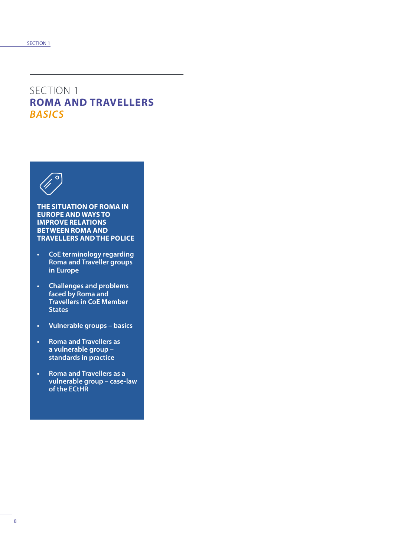# SECTION 1 **ROMA AND TRAVELLERS**  *BASICS*



**THE SITUATION OF ROMA IN EUROPE AND WAYS TO IMPROVE RELATIONS BETWEEN ROMA AND TRAVELLERS AND THE POLICE**

- **• CoE terminology regarding Roma and Traveller groups in Europe**
- **• Challenges and problems faced by Roma and Travellers in CoE Member States**
- **• Vulnerable groups basics**
- **• Roma and Travellers as a vulnerable group – standards in practice**
- **• Roma and Travellers as a vulnerable group – case-law of the ECtHR**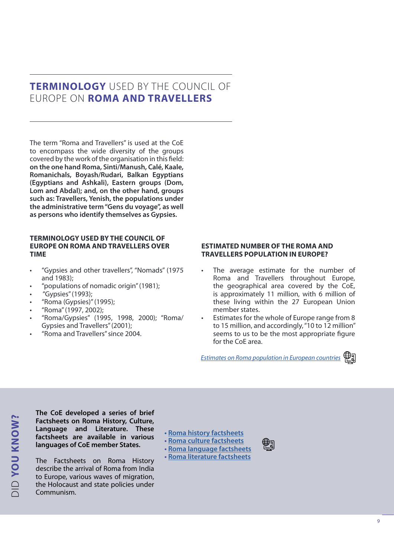# **TERMINOLOGY** USED BY THE COUNCIL OF EUROPE ON **ROMA AND TRAVELLERS**

The term "Roma and Travellers" is used at the CoE to encompass the wide diversity of the groups covered by the work of the organisation in this field: **on the one hand Roma, Sinti/Manush, Calé, Kaale, Romanichals, Boyash/Rudari, Balkan Egyptians (Egyptians and Ashkali), Eastern groups (Dom, Lom and Abdal); and, on the other hand, groups such as: Travellers, Yenish, the populations under the administrative term "Gens du voyage", as well as persons who identify themselves as Gypsies.**

### **TERMINOLOGY USED BY THE COUNCIL OF EUROPE ON ROMA AND TRAVELLERS OVER TIME**

- "Gypsies and other travellers", "Nomads" (1975 and 1983);
- "populations of nomadic origin" (1981);
- "Gypsies" (1993);

DID **YOU KNOW?**

**DID YOU KNOW?** 

- "Roma (Gypsies)" (1995);
- "Roma" (1997, 2002);
- "Roma/Gypsies" (1995, 1998, 2000); "Roma/ Gypsies and Travellers" (2001);
- "Roma and Travellers" since 2004.

### **ESTIMATED NUMBER OF THE ROMA AND TRAVELLERS POPULATION IN EUROPE?**

- The average estimate for the number of Roma and Travellers throughout Europe, the geographical area covered by the CoE, is approximately 11 million, with 6 million of these living within the 27 European Union member states.
- Estimates for the whole of Europe range from 8 to 15 million, and accordingly, "10 to 12 million" seems to us to be the most appropriate figure for the CoE area.

*[Estimates on Roma population in European countries](http://rm.coe.int/CoERMPublicCommonSearchServices/DisplayDCTMContent?documentId=0900001680088ea9)*



**The CoE developed a series of brief Factsheets on Roma History, Culture, Language and Literature. These factsheets are available in various languages of CoE member States.**

The Factsheets on Roma History describe the arrival of Roma from India to Europe, various waves of migration, the Holocaust and state policies under Communism.

### **• [Roma history factsheets](http://romafacts.uni-graz.at)**

- **• [Roma culture factsheets](http://romafacts.uni-graz.at/#title_culture)**
- **• [Roma language factsheets](http://romafacts.uni-graz.at/#title_language) • [Roma literature factsheets](http://romafacts.uni-graz.at/#title_literature)**
-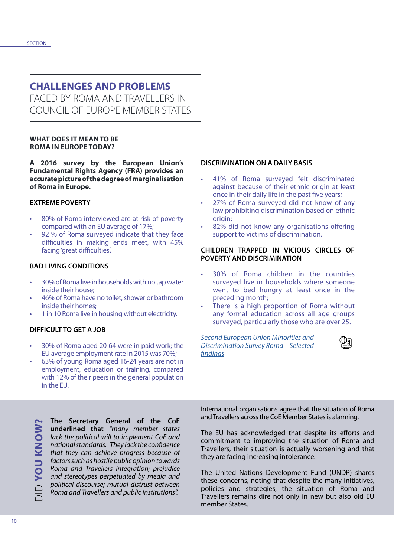# **CHALLENGES AND PROBLEMS**

FACED BY ROMA AND TRAVELLERS IN COUNCIL OF EUROPE MEMBER STATES

### **WHAT DOES IT MEAN TO BE ROMA IN EUROPE TODAY?**

**A 2016 survey by the European Union's Fundamental Rights Agency (FRA) provides an accurate picture of the degree of marginalisation of Roma in Europe.**

### **EXTREME POVERTY**

- 80% of Roma interviewed are at risk of poverty compared with an EU average of 17%;
- 92 % of Roma surveyed indicate that they face difficulties in making ends meet, with 45% facing 'great difficulties'.

### **BAD LIVING CONDITIONS**

- 30% of Roma live in households with no tap water inside their house;
- 46% of Roma have no toilet, shower or bathroom inside their homes;
- 1 in 10 Roma live in housing without electricity.

### **DIFFICULT TO GET A JOB**

- 30% of Roma aged 20-64 were in paid work; the EU average employment rate in 2015 was 70%;
- 63% of young Roma aged 16-24 years are not in employment, education or training, compared with 12% of their peers in the general population in the EU.

#### **The Secretary General of the CoE**  DID **YOU KNOW? MONIN NOA CIC underlined that** *"many member states lack the political will to implement CoE and national standards. They lack the confidence that they can achieve progress because of factors such as hostile public opinion towards Roma and Travellers integration; prejudice and stereotypes perpetuated by media and political discourse; mutual distrust between Roma and Travellers and public institutions".*

### **DISCRIMINATION ON A DAILY BASIS**

- 41% of Roma surveyed felt discriminated against because of their ethnic origin at least once in their daily life in the past five years;
- 27% of Roma surveyed did not know of any law prohibiting discrimination based on ethnic origin;
- 82% did not know any organisations offering support to victims of discrimination.

#### **CHILDREN TRAPPED IN VICIOUS CIRCLES OF POVERTY AND DISCRIMINATION**

- 30% of Roma children in the countries surveyed live in households where someone went to bed hungry at least once in the preceding month;
- There is a high proportion of Roma without any formal education across all age groups surveyed, particularly those who are over 25.

*[Second European Union Minorities and](https://fra.europa.eu/en/publication/2016/eumidis-ii-roma-selected-findings) [Discrimination Survey Roma – Selected](https://fra.europa.eu/en/publication/2016/eumidis-ii-roma-selected-findings) [findings](https://fra.europa.eu/en/publication/2016/eumidis-ii-roma-selected-findings)*



International organisations agree that the situation of Roma and Travellers across the CoE Member States is alarming.

The EU has acknowledged that despite its efforts and commitment to improving the situation of Roma and Travellers, their situation is actually worsening and that they are facing increasing intolerance.

The United Nations Development Fund (UNDP) shares these concerns, noting that despite the many initiatives, policies and strategies, the situation of Roma and Travellers remains dire not only in new but also old EU member States.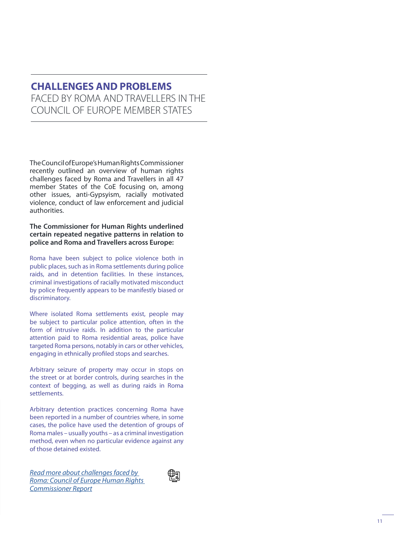# **CHALLENGES AND PROBLEMS** FACED BY ROMA AND TRAVELLERS IN THE COUNCIL OF EUROPE MEMBER STATES

The Council of Europe's Human Rights Commissioner recently outlined an overview of human rights challenges faced by Roma and Travellers in all 47 member States of the CoE focusing on, among other issues, anti-Gypsyism, racially motivated violence, conduct of law enforcement and judicial authorities.

### **The Commissioner for Human Rights underlined certain repeated negative patterns in relation to police and Roma and Travellers across Europe:**

Roma have been subject to police violence both in public places, such as in Roma settlements during police raids, and in detention facilities. In these instances, criminal investigations of racially motivated misconduct by police frequently appears to be manifestly biased or discriminatory.

Where isolated Roma settlements exist, people may be subject to particular police attention, often in the form of intrusive raids. In addition to the particular attention paid to Roma residential areas, police have targeted Roma persons, notably in cars or other vehicles, engaging in ethnically profiled stops and searches.

Arbitrary seizure of property may occur in stops on the street or at border controls, during searches in the context of begging, as well as during raids in Roma settlements.

Arbitrary detention practices concerning Roma have been reported in a number of countries where, in some cases, the police have used the detention of groups of Roma males – usually youths – as a criminal investigation method, even when no particular evidence against any of those detained existed.

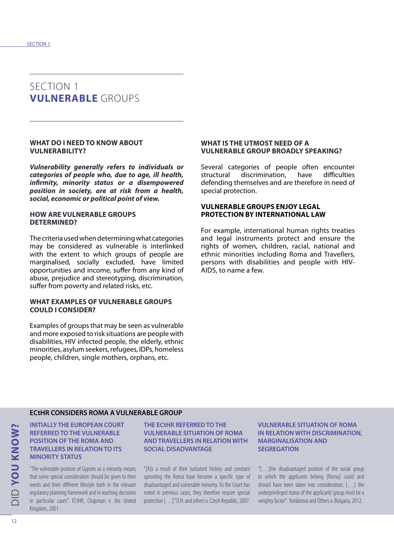### SECTION 1 **VULNERABLE** GROUPS

#### **WHAT DO I NEED TO KNOW ABOUT VULNERABILITY?**

*Vulnerability generally refers to individuals or categories of people who, due to age, ill health, infirmity, minority status or a disempowered position in society, are at risk from a health, social, economic or political point of view.*

#### **HOW ARE VULNERABLE GROUPS DETERMINED?**

The criteria used when determining what categories may be considered as vulnerable is interlinked with the extent to which groups of people are marginalised, socially excluded, have limited opportunities and income, suffer from any kind of abuse, prejudice and stereotyping, discrimination, suffer from poverty and related risks, etc.

#### **WHAT EXAMPLES OF VULNERABLE GROUPS COULD I CONSIDER?**

Examples of groups that may be seen as vulnerable and more exposed to risk situations are people with disabilities, HIV infected people, the elderly, ethnic minorities, asylum seekers, refugees, IDPs, homeless people, children, single mothers, orphans, etc.

#### **WHAT IS THE UTMOST NEED OF A VULNERABLE GROUP BROADLY SPEAKING?**

Several categories of people often encounter structural discrimination, have difficulties defending themselves and are therefore in need of special protection.

### **VULNERABLE GROUPS ENJOY LEGAL PROTECTION BY INTERNATIONAL LAW**

For example, international human rights treaties and legal instruments protect and ensure the rights of women, children, racial, national and ethnic minorities including Roma and Travellers, persons with disabilities and people with HIV-AIDS, to name a few.

### **ECtHR CONSIDERS ROMA A VULNERABLE GROUP**

**INITIALLY THE EUROPEAN COURT REFERRED TO THE VULNERABLE POSITION OF THE ROMA AND TRAVELLERS IN RELATION TO ITS MINORITY STATUS**

"The vulnerable position of Gypsies as a minority means that some special consideration should be given to their needs and their different lifestyle both in the relevant regulatory planning framework and in reaching decisions in particular cases". ECtHR, Chapman v. the United Kingdom, 2001.

#### **THE ECtHR REFERRED TO THE VULNERABLE SITUATION OF ROMA AND TRAVELLERS IN RELATION WITH SOCIAL DISADVANTAGE**

"[A]s a result of their turbulent history and constant uprooting the Roma have become a specific type of disadvantaged and vulnerable minority. As the Court has noted in previous cases, they therefore require special protection […]." D.H. and others v. Czech Republic, 2007.

#### **VULNERABLE SITUATION OF ROMA IN RELATION WITH DISCRIMINATION. MARGINALISATION AND SEGREGATION**

"[…]the disadvantaged position of the social group to which the applicants belong [Roma] could and should have been taken into consideration; […] the underprivileged status of the applicants' group must be a weighty factor". Yordanova and Others v. Bulgaria, 2012.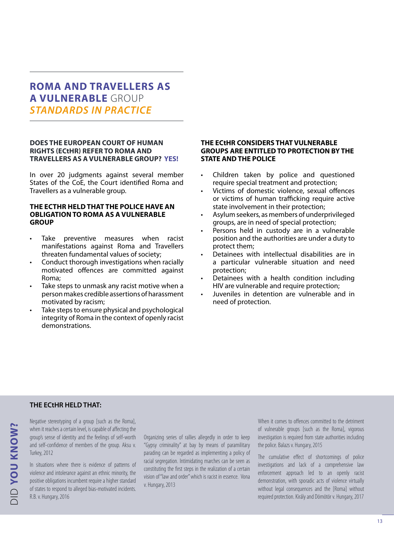# **ROMA AND TRAVELLERS AS A VULNERABLE** GROUP *STANDARDS IN PRACTICE*

#### **DOES THE EUROPEAN COURT OF HUMAN RIGHTS (ECtHR) REFER TO ROMA AND TRAVELLERS AS A VULNERABLE GROUP? YES!**

In over 20 judgments against several member States of the CoE, the Court identified Roma and Travellers as a vulnerable group.

#### **THE ECTHR HELD THAT THE POLICE HAVE AN OBLIGATION TO ROMA AS A VULNERABLE GROUP**

- Take preventive measures when racist manifestations against Roma and Travellers threaten fundamental values of society;
- Conduct thorough investigations when racially motivated offences are committed against Roma;
- Take steps to unmask any racist motive when a person makes credible assertions of harassment motivated by racism;
- Take steps to ensure physical and psychological integrity of Roma in the context of openly racist demonstrations.

#### **THE ECtHR CONSIDERS THAT VULNERABLE GROUPS ARE ENTITLED TO PROTECTION BY THE STATE AND THE POLICE**

- Children taken by police and questioned require special treatment and protection;
- Victims of domestic violence, sexual offences or victims of human trafficking require active state involvement in their protection;
- Asylum seekers, as members of underprivileged groups, are in need of special protection;
- Persons held in custody are in a vulnerable position and the authorities are under a duty to protect them;
- Detainees with intellectual disabilities are in a particular vulnerable situation and need protection;
- Detainees with a health condition including HIV are vulnerable and require protection;
- Juveniles in detention are vulnerable and in need of protection.

### **THE ECtHR HELD THAT:**

Negative stereotyping of a group [such as the Roma], when it reaches a certain level, is capable of affecting the group's sense of identity and the feelings of self-worth and self-confidence of members of the group. Aksu v. Turkey, 2012

In situations where there is evidence of patterns of violence and intolerance against an ethnic minority, the positive obligations incumbent require a higher standard of states to respond to alleged bias-motivated incidents. R.B. v. Hungary, 2016

Organizing series of rallies allegedly in order to keep "Gypsy criminality" at bay by means of paramilitary parading can be regarded as implementing a policy of racial segregation. Intimidating marches can be seen as constituting the first steps in the realization of a certain vision of "law and order" which is racist in essence. Vona v. Hungary, 2013

When it comes to offences committed to the detriment of vulnerable groups [such as the Roma], vigorous investigation is required from state authorities including the police. Balazs v. Hungary, 2015

The cumulative effect of shortcomings of police investigations and lack of a comprehensive law enforcement approach led to an openly racist demonstration, with sporadic acts of violence virtually without legal consequences and the [Roma] without required protection. Király and Dömötör v. Hungary, 2017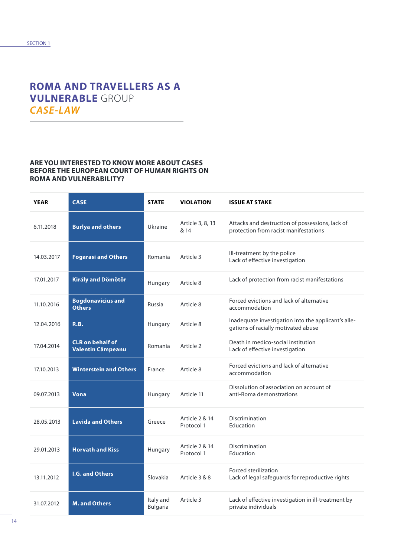# **ROMA AND TRAVELLERS AS A VULNERABLE** GROUP *CASE-LAW*

### **ARE YOU INTERESTED TO KNOW MORE ABOUT CASES BEFORE THE EUROPEAN COURT OF HUMAN RIGHTS ON ROMA AND VULNERABILITY?**

| <b>YEAR</b> | <b>CASE</b>                                         | <b>STATE</b>                 | <b>VIOLATION</b>             | <b>ISSUE AT STAKE</b>                                                                      |
|-------------|-----------------------------------------------------|------------------------------|------------------------------|--------------------------------------------------------------------------------------------|
| 6.11.2018   | <b>Burlya and others</b>                            | Ukraine                      | Article 3, 8, 13<br>& 14     | Attacks and destruction of possessions, lack of<br>protection from racist manifestations   |
| 14.03.2017  | <b>Fogarasi and Others</b>                          | Romania                      | Article 3                    | Ill-treatment by the police<br>Lack of effective investigation                             |
| 17.01.2017  | Király and Dömötör                                  | Hungary                      | Article 8                    | Lack of protection from racist manifestations                                              |
| 11.10.2016  | <b>Bogdonavicius and</b><br><b>Others</b>           | Russia                       | Article 8                    | Forced evictions and lack of alternative<br>accommodation                                  |
| 12.04.2016  | R.B.                                                | Hungary                      | Article 8                    | Inadequate investigation into the applicant's alle-<br>gations of racially motivated abuse |
| 17.04.2014  | <b>CLR</b> on behalf of<br><b>Valentin Câmpeanu</b> | Romania                      | Article 2                    | Death in medico-social institution<br>Lack of effective investigation                      |
| 17.10.2013  | <b>Winterstein and Others</b>                       | France                       | Article 8                    | Forced evictions and lack of alternative<br>accommodation                                  |
| 09.07.2013  | <b>Vona</b>                                         | Hungary                      | Article 11                   | Dissolution of association on account of<br>anti-Roma demonstrations                       |
| 28.05.2013  | <b>Lavida and Others</b>                            | Greece                       | Article 2 & 14<br>Protocol 1 | Discrimination<br>Education                                                                |
| 29.01.2013  | <b>Horvath and Kiss</b>                             | Hungary                      | Article 2 & 14<br>Protocol 1 | Discrimination<br>Education                                                                |
| 13.11.2012  | <b>I.G. and Others</b>                              | Slovakia                     | Article 3 & 8                | Forced sterilization<br>Lack of legal safeguards for reproductive rights                   |
| 31.07.2012  | <b>M. and Others</b>                                | Italy and<br><b>Bulgaria</b> | Article 3                    | Lack of effective investigation in ill-treatment by<br>private individuals                 |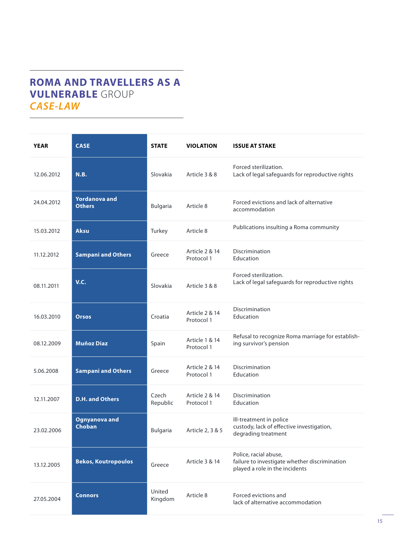# **ROMA AND TRAVELLERS AS A VULNERABLE** GROUP *CASE-LAW*

| <b>YEAR</b> | <b>CASE</b>                           | <b>STATE</b>      | <b>VIOLATION</b>             | <b>ISSUE AT STAKE</b>                                                                                    |
|-------------|---------------------------------------|-------------------|------------------------------|----------------------------------------------------------------------------------------------------------|
| 12.06.2012  | <b>N.B.</b>                           | Slovakia          | Article 3 & 8                | Forced sterilization.<br>Lack of legal safeguards for reproductive rights                                |
| 24.04.2012  | <b>Yordanova and</b><br><b>Others</b> | <b>Bulgaria</b>   | Article 8                    | Forced evictions and lack of alternative<br>accommodation                                                |
| 15.03.2012  | <b>Aksu</b>                           | Turkey            | Article 8                    | Publications insulting a Roma community                                                                  |
| 11.12.2012  | <b>Sampani and Others</b>             | Greece            | Article 2 & 14<br>Protocol 1 | Discrimination<br>Education                                                                              |
| 08.11.2011  | V.C.                                  | Slovakia          | Article 3 & 8                | Forced sterilization.<br>Lack of legal safeguards for reproductive rights                                |
| 16.03.2010  | <b>Orsos</b>                          | Croatia           | Article 2 & 14<br>Protocol 1 | Discrimination<br>Education                                                                              |
| 08.12.2009  | <b>Muñoz Diaz</b>                     | Spain             | Article 1 & 14<br>Protocol 1 | Refusal to recognize Roma marriage for establish-<br>ing survivor's pension                              |
| 5.06.2008   | <b>Sampani and Others</b>             | Greece            | Article 2 & 14<br>Protocol 1 | Discrimination<br>Education                                                                              |
| 12.11.2007  | <b>D.H. and Others</b>                | Czech<br>Republic | Article 2 & 14<br>Protocol 1 | Discrimination<br>Education                                                                              |
| 23.02.2006  | <b>Ognyanova and</b><br>Choban        | Bulgaria          | Article 2, 3 & 5             | Ill-treatment in police<br>custody, lack of effective investigation,<br>degrading treatment              |
| 13.12.2005  | <b>Bekos, Koutropoulos</b>            | Greece            | Article 3 & 14               | Police, racial abuse,<br>failure to investigate whether discrimination<br>played a role in the incidents |
| 27.05.2004  | <b>Connors</b>                        | United<br>Kingdom | Article 8                    | Forced evictions and<br>lack of alternative accommodation                                                |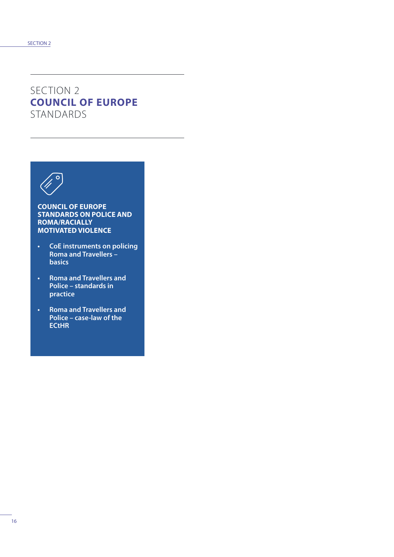# SECTION 2 **COUNCIL OF EUROPE**  STANDARDS



#### **COUNCIL OF EUROPE STANDARDS ON POLICE AND ROMA/RACIALLY MOTIVATED VIOLENCE**

- **• CoE instruments on policing Roma and Travellers – basics**
- **• Roma and Travellers and Police – standards in practice**
- **• Roma and Travellers and Police – case-law of the ECtHR**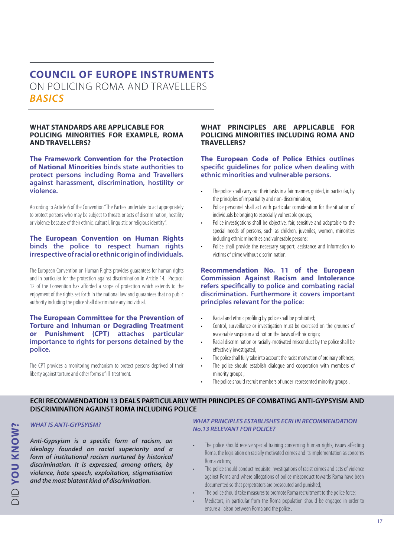# **COUNCIL OF EUROPE INSTRUMENTS**  ON POLICING ROMA AND TRAVELLERS *BASICS*

#### **WHAT STANDARDS ARE APPLICABLE FOR POLICING MINORITIES FOR EXAMPLE, ROMA AND TRAVELLERS?**

**The Framework Convention for the Protection of National Minorities binds state authorities to protect persons including Roma and Travellers against harassment, discrimination, hostility or violence.**

According to Article 6 of the Convention "The Parties undertake to act appropriately to protect persons who may be subject to threats or acts of discrimination, hostility or violence because of their ethnic, cultural, linguistic or religious identity".

### **The European Convention on Human Rights binds the police to respect human rights irrespective of racial or ethnic origin of individuals.**

The European Convention on Human Rights provides guarantees for human rights and in particular for the protection against discrimination in Article 14. Protocol 12 of the Convention has afforded a scope of protection which extends to the enjoyment of the rights set forth in the national law and guarantees that no public authority including the police shall discriminate any individual.

#### **The European Committee for the Prevention of Torture and Inhuman or Degrading Treatment or Punishment (CPT) attaches particular importance to rights for persons detained by the police.**

The CPT provides a monitoring mechanism to protect persons deprived of their liberty against torture and other forms of ill-treatment.

#### **WHAT PRINCIPLES ARE APPLICABLE FOR POLICING MINORITIES INCLUDING ROMA AND TRAVELLERS?**

#### **The European Code of Police Ethics outlines specific guidelines for police when dealing with ethnic minorities and vulnerable persons.**

- The police shall carry out their tasks in a fair manner, quided, in particular, by the principles of impartiality and non-discrimination;
- Police personnel shall act with particular consideration for the situation of individuals belonging to especially vulnerable groups;
- Police investigations shall be objective, fair, sensitive and adaptable to the special needs of persons, such as children, juveniles, women, minorities including ethnic minorities and vulnerable persons;
- Police shall provide the necessary support, assistance and information to victims of crime without discrimination.

#### **Recommendation No. 11 of the European Commission Against Racism and Intolerance refers specifically to police and combating racial discrimination. Furthermore it covers important principles relevant for the police:**

- Racial and ethnic profiling by police shall be prohibited;
- Control, surveillance or investigation must be exercised on the grounds of reasonable suspicion and not on the basis of ethnic origin;
- Racial discrimination or racially-motivated misconduct by the police shall be effectively investigated;
- The police shall fully take into account the racist motivation of ordinary offences;
- The police should establish dialogue and cooperation with members of minority groups ;
- The police should recruit members of under-represented minority groups.

### **ECRI RECOMMENDATION 13 DEALS PARTICULARLY WITH PRINCIPLES OF COMBATING ANTI-GYPSYISM AND DISCRIMINATION AGAINST ROMA INCLUDING POLICE**

*WHAT IS ANTI-GYPSYISM?*

*Anti-Gypsyism is a specific form of racism, an ideology founded on racial superiority and a form of institutional racism nurtured by historical discrimination. It is expressed, among others, by violence, hate speech, exploitation, stigmatisation and the most blatant kind of discrimination.* 

#### *WHAT PRINCIPLES ESTABLISHES ECRI IN RECOMMENDATION No.13 RELEVANT FOR POLICE?*

- The police should receive special training concerning human rights, issues affecting Roma, the legislation on racially motivated crimes and its implementation as concerns Roma victims;
- The police should conduct requisite investigations of racist crimes and acts of violence against Roma and where allegations of police misconduct towards Roma have been documented so that perpetrators are prosecuted and punished;
- The police should take measures to promote Roma recruitment to the police force;
- Mediators, in particular from the Roma population should be engaged in order to ensure a liaison between Roma and the police .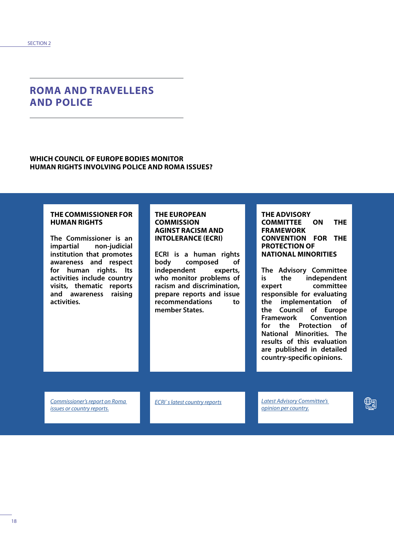### **ROMA AND TRAVELLERS AND POLICE**

### **WHICH COUNCIL OF EUROPE BODIES MONITOR HUMAN RIGHTS INVOLVING POLICE AND ROMA ISSUES?**

### **THE COMMISSIONER FOR HUMAN RIGHTS**

**The Commissioner is an impartial non-judicial institution that promotes awareness and respect for human rights. Its activities include country visits, thematic reports and awareness raising activities.** 

#### **THE EUROPEAN COMMISSION AGINST RACISM AND INTOLERANCE (ECRI)**

**ECRI is a human rights body composed of independent experts, who monitor problems of racism and discrimination, prepare reports and issue recommendations to member States.**

#### **THE ADVISORY COMMITTEE ON THE FRAMEWORK CONVENTION FOR THE PROTECTION OF NATIONAL MINORITIES**

**The Advisory Committee is the independent expert committee responsible for evaluating the implementation of the Council of Europe Framework Convention for the Protection of National Minorities. The results of this evaluation are published in detailed country-specific opinions.**

*[Commissioner's report on Roma](https://www.coe.int/en/web/commissioner/thematic-work/roma-and-travellers)  [issues or country reports.](https://www.coe.int/en/web/commissioner/thematic-work/roma-and-travellers)*

*[ECRI`s latest country reports](https://www.coe.int/en/web/european-commission-against-racism-and-intolerance/country-monitoring) [Latest Advisory Committee's](https://www.coe.int/en/web/minorities/country-specific-monitoring)* 

*[opinion per country.](https://www.coe.int/en/web/minorities/country-specific-monitoring)*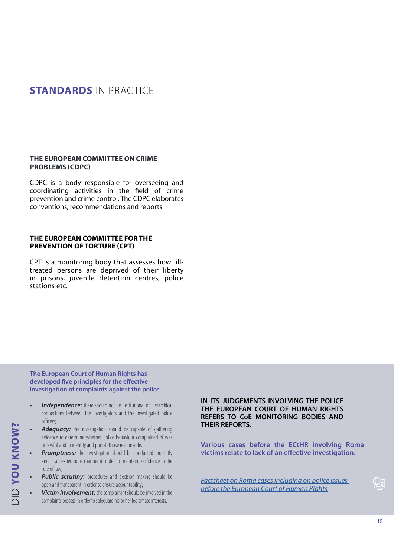# **STANDARDS** IN PRACTICE

### **THE EUROPEAN COMMITTEE ON CRIME PROBLEMS (CDPC)**

CDPC is a body responsible for overseeing and coordinating activities in the field of crime prevention and crime control. The CDPC elaborates conventions, recommendations and reports.

#### **THE EUROPEAN COMMITTEE FOR THE PREVENTION OF TORTURE (CPT)**

CPT is a monitoring body that assesses how illtreated persons are deprived of their liberty in prisons, juvenile detention centres, police stations etc.

**The European Court of Human Rights has developed five principles for the effective investigation of complaints against the police.**

- **Independence:** there should not be institutional or hierarchical connections between the investigators and the investigated police officers;
- Adequacy: the investigation should be capable of gathering evidence to determine whether police behaviour complained of was unlawful and to identify and punish those responsible;
- *Promptness:* the investigation should be conducted promptly and in an expeditious manner in order to maintain confidence in the rule of law;
- **Public scrutiny:** procedures and decision-making should be open and transparent in order to ensure accountability;
- *• Victim involvement:* the complainant should be involved in the complaints process in order to safeguard his or her legitimate interests.

**IN ITS JUDGEMENTS INVOLVING THE POLICE THE EUROPEAN COURT OF HUMAN RIGHTS REFERS TO CoE MONITORING BODIES AND THEIR REPORTS.**

**Various cases before the ECtHR involving Roma victims relate to lack of an effective investigation.**

*[Factsheet on Roma cases including on police issues](https://www.echr.coe.int/Documents/FS_Roma_ENG.pdf)  [before the European Court of Human Rights](https://www.echr.coe.int/Documents/FS_Roma_ENG.pdf)*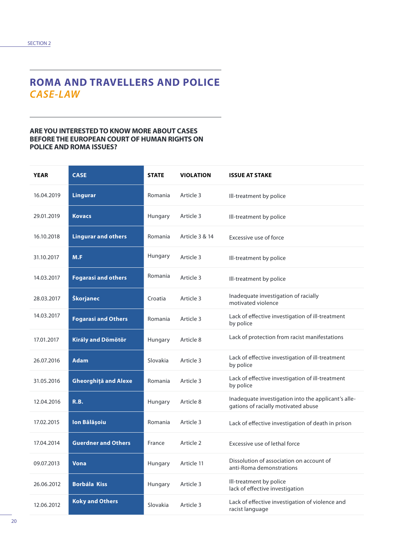# **ROMA AND TRAVELLERS AND POLICE**  *CASE-LAW*

#### **ARE YOU INTERESTED TO KNOW MORE ABOUT CASES BEFORE THE EUROPEAN COURT OF HUMAN RIGHTS ON POLICE AND ROMA ISSUES?**

| <b>YEAR</b> | <b>CASE</b>                 | <b>STATE</b> | <b>VIOLATION</b> | <b>ISSUE AT STAKE</b>                                                                      |
|-------------|-----------------------------|--------------|------------------|--------------------------------------------------------------------------------------------|
| 16.04.2019  | <b>Lingurar</b>             | Romania      | Article 3        | Ill-treatment by police                                                                    |
| 29.01.2019  | <b>Kovacs</b>               | Hungary      | Article 3        | Ill-treatment by police                                                                    |
| 16.10.2018  | <b>Lingurar and others</b>  | Romania      | Article 3 & 14   | Excessive use of force                                                                     |
| 31.10.2017  | M.F                         | Hungary      | Article 3        | Ill-treatment by police                                                                    |
| 14.03.2017  | <b>Fogarasi and others</b>  | Romania      | Article 3        | Ill-treatment by police                                                                    |
| 28.03.2017  | Škorjanec                   | Croatia      | Article 3        | Inadequate investigation of racially<br>motivated violence                                 |
| 14.03.2017  | <b>Fogarasi and Others</b>  | Romania      | Article 3        | Lack of effective investigation of ill-treatment<br>by police                              |
| 17.01.2017  | Király and Dömötör          | Hungary      | Article 8        | Lack of protection from racist manifestations                                              |
| 26.07.2016  | Adam                        | Slovakia     | Article 3        | Lack of effective investigation of ill-treatment<br>by police                              |
| 31.05.2016  | <b>Gheorghiță and Alexe</b> | Romania      | Article 3        | Lack of effective investigation of ill-treatment<br>by police                              |
| 12.04.2016  | R.B.                        | Hungary      | Article 8        | Inadequate investigation into the applicant's alle-<br>gations of racially motivated abuse |
| 17.02.2015  | Ion Bălășoiu                | Romania      | Article 3        | Lack of effective investigation of death in prison                                         |
| 17.04.2014  | <b>Guerdner and Others</b>  | France       | Article 2        | Excessive use of lethal force                                                              |
| 09.07.2013  | <b>Vona</b>                 | Hungary      | Article 11       | Dissolution of association on account of<br>anti-Roma demonstrations                       |
| 26.06.2012  | <b>Borbála Kiss</b>         | Hungary      | Article 3        | Ill-treatment by police<br>lack of effective investigation                                 |
| 12.06.2012  | <b>Koky and Others</b>      | Slovakia     | Article 3        | Lack of effective investigation of violence and<br>racist language                         |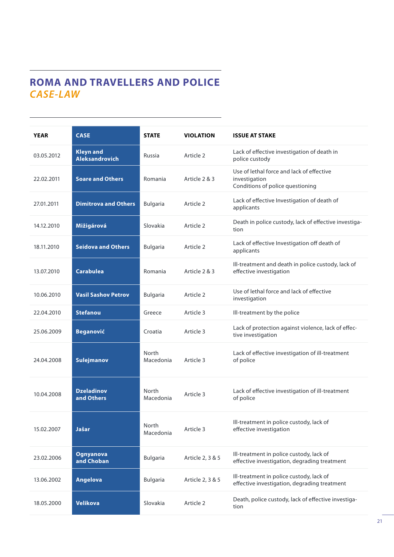# **ROMA AND TRAVELLERS AND POLICE**  *CASE-LAW*

| <b>YEAR</b> | <b>CASE</b>                               | <b>STATE</b>       | <b>VIOLATION</b> | <b>ISSUE AT STAKE</b>                                                                          |
|-------------|-------------------------------------------|--------------------|------------------|------------------------------------------------------------------------------------------------|
| 03.05.2012  | <b>Kleyn and</b><br><b>Aleksandrovich</b> | Russia             | Article 2        | Lack of effective investigation of death in<br>police custody                                  |
| 22.02.2011  | <b>Soare and Others</b>                   | Romania            | Article 2 & 3    | Use of lethal force and lack of effective<br>investigation<br>Conditions of police questioning |
| 27.01.2011  | <b>Dimitrova and Others</b>               | Bulgaria           | Article 2        | Lack of effective Investigation of death of<br>applicants                                      |
| 14.12.2010  | Mižigárová                                | Slovakia           | Article 2        | Death in police custody, lack of effective investiga-<br>tion                                  |
| 18.11.2010  | <b>Seidova and Others</b>                 | Bulgaria           | Article 2        | Lack of effective Investigation off death of<br>applicants                                     |
| 13.07.2010  | <b>Carabulea</b>                          | Romania            | Article 2 & 3    | Ill-treatment and death in police custody, lack of<br>effective investigation                  |
| 10.06.2010  | <b>Vasil Sashov Petrov</b>                | Bulgaria           | Article 2        | Use of lethal force and lack of effective<br>investigation                                     |
| 22.04.2010  | <b>Stefanou</b>                           | Greece             | Article 3        | Ill-treatment by the police                                                                    |
| 25.06.2009  | <b>Beganović</b>                          | Croatia            | Article 3        | Lack of protection against violence, lack of effec-<br>tive investigation                      |
| 24.04.2008  | Sulejmanov                                | North<br>Macedonia | Article 3        | Lack of effective investigation of ill-treatment<br>of police                                  |
| 10.04.2008  | <b>Dzeladinov</b><br>and Others           | North<br>Macedonia | Article 3        | Lack of effective investigation of ill-treatment<br>of police                                  |
| 15.02.2007  | Jašar                                     | North<br>Macedonia | Article 3        | Ill-treatment in police custody, lack of<br>effective investigation                            |
| 23.02.2006  | <b>Ognyanova</b><br>and Choban            | <b>Bulgaria</b>    | Article 2, 3 & 5 | Ill-treatment in police custody, lack of<br>effective investigation, degrading treatment       |
| 13.06.2002  | Angelova                                  | <b>Bulgaria</b>    | Article 2, 3 & 5 | Ill-treatment in police custody, lack of<br>effective investigation, degrading treatment       |
| 18.05.2000  | <b>Velikova</b>                           | Slovakia           | Article 2        | Death, police custody, lack of effective investiga-<br>tion                                    |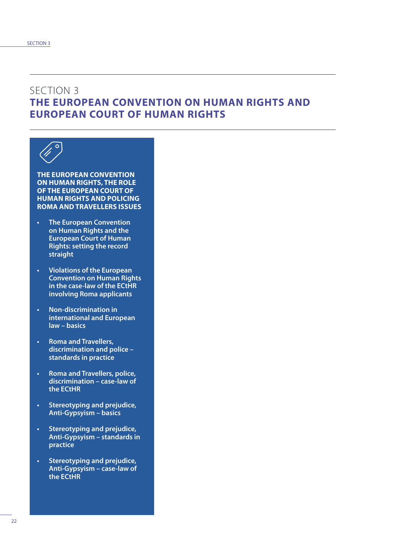### SECTION 3 **THE EUROPEAN CONVENTION ON HUMAN RIGHTS AND EUROPEAN COURT OF HUMAN RIGHTS**



**THE EUROPEAN CONVENTION ON HUMAN RIGHTS, THE ROLE OF THE EUROPEAN COURT OF HUMAN RIGHTS AND POLICING ROMA AND TRAVELLERS ISSUES**

- **• The European Convention on Human Rights and the European Court of Human Rights: setting the record straight**
- **• Violations of the European Convention on Human Rights in the case-law of the ECtHR involving Roma applicants**
- **• Non-discrimination in international and European law – basics**
- **• Roma and Travellers, discrimination and police – standards in practice**
- **• Roma and Travellers, police, discrimination – case-law of the ECtHR**
- **• Stereotyping and prejudice, Anti-Gypsyism – basics**
- **• Stereotyping and prejudice, Anti-Gypsyism – standards in practice**
- **• Stereotyping and prejudice, Anti-Gypsyism – case-law of the ECtHR**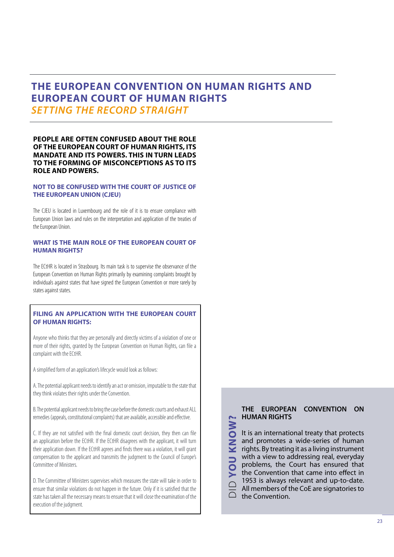## **THE EUROPEAN CONVENTION ON HUMAN RIGHTS AND EUROPEAN COURT OF HUMAN RIGHTS** *SETTING THE RECORD STRAIGHT*

#### **PEOPLE ARE OFTEN CONFUSED ABOUT THE ROLE OF THE EUROPEAN COURT OF HUMAN RIGHTS, ITS MANDATE AND ITS POWERS. THIS IN TURN LEADS TO THE FORMING OF MISCONCEPTIONS AS TO ITS ROLE AND POWERS.**

#### **NOT TO BE CONFUSED WITH THE COURT OF JUSTICE OF THE EUROPEAN UNION (CJEU)**

The CJEU is located in Luxembourg and the role of it is to ensure compliance with European Union laws and rules on the interpretation and application of the treaties of the European Union.

#### **WHAT IS THE MAIN ROLE OF THE EUROPEAN COURT OF HUMAN RIGHTS?**

The ECtHR is located in Strasbourg. Its main task is to supervise the observance of the European Convention on Human Rights primarily by examining complaints brought by individuals against states that have signed the European Convention or more rarely by states against states.

#### **FILING AN APPLICATION WITH THE EUROPEAN COURT OF HUMAN RIGHTS:**

Anyone who thinks that they are personally and directly victims of a violation of one or more of their rights, granted by the European Convention on Human Rights, can file a complaint with the ECtHR.

A simplified form of an application's lifecycle would look as follows:

A. The potential applicant needs to identify an act or omission, imputable to the state that they think violates their rights under the Convention.

B. The potential applicant needs to bring the case before the domestic courts and exhaust ALL remedies (appeals, constitutional complaints) that are available, accessible and effective.

C. If they are not satisfied with the final domestic court decision, they then can file an application before the ECtHR. If the ECtHR disagrees with the applicant, it will turn their application down. If the ECtHR agrees and finds there was a violation, it will grant compensation to the applicant and transmits the judgment to the Council of Europe's Committee of Ministers.

D. The Committee of Ministers supervises which measures the state will take in order to ensure that similar violations do not happen in the future. Only if it is satisfied that the state has taken all the necessary means to ensure that it will close the examination of the execution of the judgment.

### **THE EUROPEAN CONVENTION ON HUMAN RIGHTS**

**KNOW? YOU KNOW?** It is an international treaty that protects and promotes a wide-series of human rights. By treating it as a living instrument JO with a view to addressing real, everyday problems, the Court has ensured that the Convention that came into effect in 1953 is always relevant and up-to-date. DID All members of the CoE are signatories to the Convention.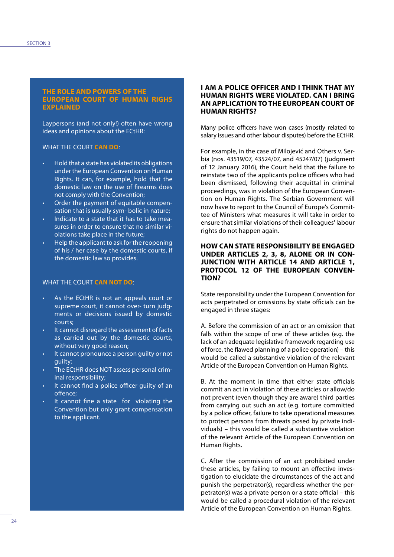#### **THE ROLE AND POWERS OF THE EUROPEAN COURT OF HUMAN RIGHS EXPLAINED**

Laypersons (and not only!) often have wrong ideas and opinions about the ECtHR:

#### WHAT THE COURT **CAN DO**:

- Hold that a state has violated its obligations under the European Convention on Human Rights. It can, for example, hold that the domestic law on the use of firearms does not comply with the Convention;
- Order the payment of equitable compensation that is usually sym- bolic in nature;
- Indicate to a state that it has to take measures in order to ensure that no similar violations take place in the future;
- Help the applicant to ask for the reopening of his / her case by the domestic courts, if the domestic law so provides.

#### WHAT THE COURT **CAN NOT DO**:

- As the ECtHR is not an appeals court or supreme court, it cannot over- turn judgments or decisions issued by domestic courts;
- It cannot disregard the assessment of facts as carried out by the domestic courts, without very good reason;
- It cannot pronounce a person guilty or not guilty;
- The ECtHR does NOT assess personal criminal responsibility;
- It cannot find a police officer guilty of an offence;
- It cannot fine a state for violating the Convention but only grant compensation to the applicant.

#### **I AM A POLICE OFFICER AND I THINK THAT MY HUMAN RIGHTS WERE VIOLATED. CAN I BRING AN APPLICATION TO THE EUROPEAN COURT OF HUMAN RIGHTS?**

Many police officers have won cases (mostly related to salary issues and other labour disputes) before the ECtHR.

For example, in the case of Milojević and Others v. Serbia (nos. 43519/07, 43524/07, and 45247/07) (judgment of 12 January 2016), the Court held that the failure to reinstate two of the applicants police officers who had been dismissed, following their acquittal in criminal proceedings, was in violation of the European Convention on Human Rights. The Serbian Government will now have to report to the Council of Europe's Committee of Ministers what measures it will take in order to ensure that similar violations of their colleagues' labour rights do not happen again.

#### **HOW CAN STATE RESPONSIBILITY BE ENGAGED UNDER ARTICLES 2, 3, 8, ALONE OR IN CON-JUNCTION WITH ARTICLE 14 AND ARTICLE 1, PROTOCOL 12 OF THE EUROPEAN CONVEN-TION?**

State responsibility under the European Convention for acts perpetrated or omissions by state officials can be engaged in three stages:

A. Before the commission of an act or an omission that falls within the scope of one of these articles (e.g. the lack of an adequate legislative framework regarding use of force, the flawed planning of a police operation) – this would be called a substantive violation of the relevant Article of the European Convention on Human Rights.

B. At the moment in time that either state officials commit an act in violation of these articles or allow/do not prevent (even though they are aware) third parties from carrying out such an act (e.g. torture committed by a police officer, failure to take operational measures to protect persons from threats posed by private individuals) – this would be called a substantive violation of the relevant Article of the European Convention on Human Rights.

C. After the commission of an act prohibited under these articles, by failing to mount an effective investigation to elucidate the circumstances of the act and punish the perpetrator(s), regardless whether the perpetrator(s) was a private person or a state official – this would be called a procedural violation of the relevant Article of the European Convention on Human Rights.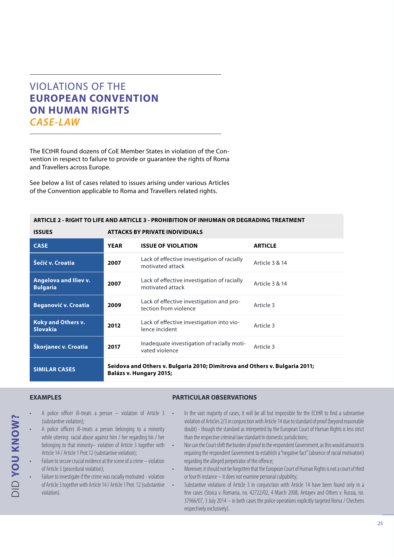# VIOLATIONS OF THE **EUROPEAN CONVENTION ON HUMAN RIGHTS**  *CASE-LAW*

The ECtHR found dozens of CoE Member States in violation of the Convention in respect to failure to provide or guarantee the rights of Roma and Travellers across Europe.

See below a list of cases related to issues arising under various Articles of the Convention applicable to Roma and Travellers related rights.

| ANTICLE 2 - NIGHT TO LIFE AND ANTICLE 3 - PNOHIBITION OF INHOMAN ON DEGNADING TREATMENT |             |                                                                                                        |                |  |  |  |  |
|-----------------------------------------------------------------------------------------|-------------|--------------------------------------------------------------------------------------------------------|----------------|--|--|--|--|
| <b>ISSUES</b>                                                                           |             | <b>ATTACKS BY PRIVATE INDIVIDUALS</b>                                                                  |                |  |  |  |  |
| <b>CASE</b>                                                                             | <b>YEAR</b> | <b>ISSUE OF VIOLATION</b>                                                                              | <b>ARTICLE</b> |  |  |  |  |
| Šečić v. Croatia                                                                        | 2007        | Lack of effective investigation of racially<br>motivated attack                                        | Article 3 & 14 |  |  |  |  |
| Angelova and Iliev v.<br><b>Bulgaria</b>                                                | 2007        | Lack of effective investigation of racially<br>motivated attack                                        | Article 3 & 14 |  |  |  |  |
| <b>Beganović v. Croatia</b>                                                             | 2009        | Lack of effective investigation and pro-<br>tection from violence                                      | Article 3      |  |  |  |  |
| <b>Koky and Others v.</b><br><b>Slovakia</b>                                            | 2012        | Lack of effective investigation into vio-<br>lence incident                                            | Article 3      |  |  |  |  |
| Škorjanec v. Croatia                                                                    | 2017        | Inadequate investigation of racially moti-<br>vated violence                                           | Article 3      |  |  |  |  |
| <b>SIMILAR CASES</b>                                                                    |             | Seidova and Others v. Bulgaria 2010; Dimitrova and Others v. Bulgaria 2011;<br>Balázs v. Hungary 2015; |                |  |  |  |  |

**ARTICLE 2 - RIGHT TO LIFE AND ARTICLE 3 - PROHIBITION OF INHUMAN OR DEGRADING TREATMENT**

### **EXAMPLES**

DID **YOU KNOW?**

**DID YOU KNOW?** 

- A police officer ill-treats a person violation of Article 3 (substantive violation);
- A police officers ill-treats a person belonging to a minority while uttering racial abuse against him / her regarding his / her belonging to that minority– violation of Article 3 together with Article 14 / Article 1 Prot.12 (substantive violation);
- Failure to secure crucial evidence at the scene of a crime violation of Article 3 (procedural violation);
- Failure to investigate if the crime was racially motivated violation of Article 3 together with Article 14 / Article 1 Prot. 12 (substantive violation).

#### **PARTICULAR OBSERVATIONS**

- In the vast majority of cases, it will be all but impossible for the ECtHR to find a substantive violation of Articles 2/3 in conjunction with Article 14 due to standard of proof (beyond reasonable doubt) - though the standard as interpreted by the European Court of Human Rights is less strict than the respective criminal law standard in domestic jurisdictions;
	- Nor can the Court shift the burden of proof to the respondent Government, as this would amount to requiring the respondent Government to establish a "negative fact" (absence of racial motivation) regarding the alleged perpetrator of the offence;
	- Moreover, it should not be forgotten that the European Court of Human Rights is not a court of third or fourth instance – it does not examine personal culpability;
	- Substantive violations of Article 3 in conjunction with Article 14 have been found only in a few cases (Stoica v. Romania, no. 42722/02, 4 March 2008, Antayev and Others v. Russia, no. 37966/07, 3 July 2014 – in both cases the police operations explicitly targeted Roma / Chechens respectively exclusively).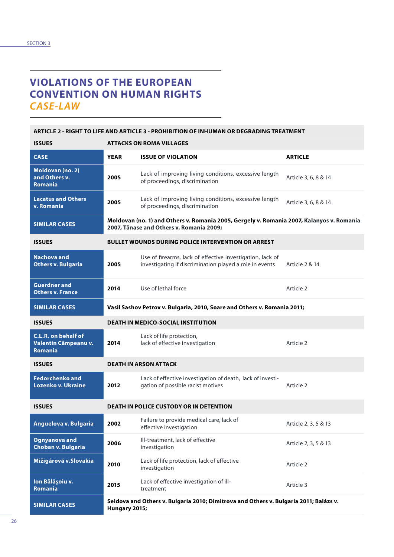# **VIOLATIONS OF THE EUROPEAN CONVENTION ON HUMAN RIGHTS**  *CASE-LAW*

### **ARTICLE 2 - RIGHT TO LIFE AND ARTICLE 3 - PROHIBITION OF INHUMAN OR DEGRADING TREATMENT**

| <b>ISSUES</b>                                                 | <b>ATTACKS ON ROMA VILLAGES</b> |                                                                                                                                       |                      |  |  |
|---------------------------------------------------------------|---------------------------------|---------------------------------------------------------------------------------------------------------------------------------------|----------------------|--|--|
| <b>CASE</b>                                                   | <b>YEAR</b>                     | <b>ISSUE OF VIOLATION</b>                                                                                                             | <b>ARTICLE</b>       |  |  |
| Moldovan (no. 2)<br>and Others v.<br><b>Romania</b>           | 2005                            | Lack of improving living conditions, excessive length<br>of proceedings, discrimination                                               | Article 3, 6, 8 & 14 |  |  |
| <b>Lacatus and Others</b><br>v. Romania                       | 2005                            | Lack of improving living conditions, excessive length<br>of proceedings, discrimination                                               | Article 3, 6, 8 & 14 |  |  |
| <b>SIMILAR CASES</b>                                          |                                 | Moldovan (no. 1) and Others v. Romania 2005, Gergely v. Romania 2007, Kalanyos v. Romania<br>2007, Tănase and Others v. Romania 2009; |                      |  |  |
| <b>ISSUES</b>                                                 |                                 | <b>BULLET WOUNDS DURING POLICE INTERVENTION OR ARREST</b>                                                                             |                      |  |  |
| Nachova and<br><b>Others v. Bulgaria</b>                      | 2005                            | Use of firearms, lack of effective investigation, lack of<br>investigating if discrimination played a role in events                  | Article 2 & 14       |  |  |
| <b>Guerdner and</b><br><b>Others v. France</b>                | 2014                            | Use of lethal force                                                                                                                   | Article 2            |  |  |
| <b>SIMILAR CASES</b>                                          |                                 | Vasil Sashov Petrov v. Bulgaria, 2010, Soare and Others v. Romania 2011;                                                              |                      |  |  |
| <b>ISSUES</b>                                                 |                                 | <b>DEATH IN MEDICO-SOCIAL INSTITUTION</b>                                                                                             |                      |  |  |
| C.L.R. on behalf of<br>Valentin Câmpeanu v.<br><b>Romania</b> | 2014                            | Lack of life protection,<br>lack of effective investigation                                                                           | Article 2            |  |  |
| <b>ISSUES</b>                                                 |                                 | <b>DEATH IN ARSON ATTACK</b>                                                                                                          |                      |  |  |
| <b>Fedorchenko and</b><br>Lozenko v. Ukraine                  | 2012                            | Lack of effective investigation of death, lack of investi-<br>gation of possible racist motives                                       | Article 2            |  |  |
| <b>ISSUES</b>                                                 |                                 | <b>DEATH IN POLICE CUSTODY OR IN DETENTION</b>                                                                                        |                      |  |  |
| Anguelova v. Bulgaria                                         | 2002                            | Failure to provide medical care, lack of<br>effective investigation                                                                   | Article 2, 3, 5 & 13 |  |  |
| <b>Ognyanova and</b><br>Choban v. Bulgaria                    | 2006                            | Ill-treatment, lack of effective<br>investigation                                                                                     | Article 2, 3, 5 & 13 |  |  |
| Mižigárová v. Slovakia                                        | 2010                            | Lack of life protection, lack of effective<br>investigation                                                                           | Article 2            |  |  |
| Ion Bălășoiu v.<br>Romania                                    | 2015                            | Lack of effective investigation of ill-<br>treatment                                                                                  | Article 3            |  |  |
| <b>SIMILAR CASES</b>                                          | Hungary 2015;                   | Seidova and Others v. Bulgaria 2010; Dimitrova and Others v. Bulgaria 2011; Balázs v.                                                 |                      |  |  |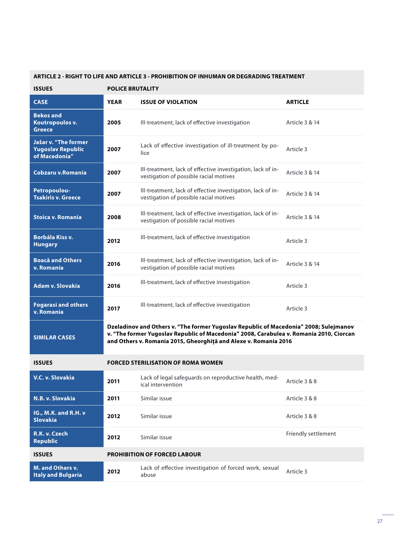#### **ARTICLE 2 - RIGHT TO LIFE AND ARTICLE 3 - PROHIBITION OF INHUMAN OR DEGRADING TREATMENT**

| <b>ISSUES</b>                                                     | <b>POLICE BRUTALITY</b> |                                                                                                                                                                                                                                                      |                     |  |  |
|-------------------------------------------------------------------|-------------------------|------------------------------------------------------------------------------------------------------------------------------------------------------------------------------------------------------------------------------------------------------|---------------------|--|--|
| <b>CASE</b>                                                       | <b>YEAR</b>             | <b>ISSUE OF VIOLATION</b>                                                                                                                                                                                                                            | <b>ARTICLE</b>      |  |  |
| <b>Bekos and</b><br>Koutropoulos v.<br><b>Greece</b>              | 2005                    | Ill-treatment, lack of effective investigation                                                                                                                                                                                                       | Article 3 & 14      |  |  |
| Jašar v. "The former<br><b>Yugoslav Republic</b><br>of Macedonia" | 2007                    | Lack of effective investigation of ill-treatment by po-<br>lice                                                                                                                                                                                      | Article 3           |  |  |
| Cobzaru v.Romania                                                 | 2007                    | Ill-treatment, lack of effective investigation, lack of in-<br>vestigation of possible racial motives                                                                                                                                                | Article 3 & 14      |  |  |
| Petropoulou-<br><b>Tsakiris v. Greece</b>                         | 2007                    | Ill-treatment, lack of effective investigation, lack of in-<br>vestigation of possible racial motives                                                                                                                                                | Article 3 & 14      |  |  |
| <b>Stoica v. Romania</b>                                          | 2008                    | Ill-treatment, lack of effective investigation, lack of in-<br>vestigation of possible racial motives                                                                                                                                                | Article 3 & 14      |  |  |
| <b>Borbála Kiss v.</b><br><b>Hungary</b>                          | 2012                    | Ill-treatment, lack of effective investigation                                                                                                                                                                                                       | Article 3           |  |  |
| <b>Boacă and Others</b><br>v. Romania                             | 2016                    | Ill-treatment, lack of effective investigation, lack of in-<br>vestigation of possible racial motives                                                                                                                                                | Article 3 & 14      |  |  |
| <b>Adam v. Slovakia</b>                                           | 2016                    | Ill-treatment, lack of effective investigation                                                                                                                                                                                                       | Article 3           |  |  |
| <b>Fogarasi and others</b><br>v. Romania                          | 2017                    | Ill-treatment, lack of effective investigation                                                                                                                                                                                                       | Article 3           |  |  |
| <b>SIMILAR CASES</b>                                              |                         | Dzeladinov and Others v. "The former Yugoslav Republic of Macedonia" 2008; Sulejmanov<br>v. "The former Yugoslav Republic of Macedonia" 2008, Carabulea v. Romania 2010, Ciorcan<br>and Others v. Romania 2015, Gheorghiță and Alexe v. Romania 2016 |                     |  |  |
| <b>ISSUES</b>                                                     |                         | <b>FORCED STERILISATION OF ROMA WOMEN</b>                                                                                                                                                                                                            |                     |  |  |
| V.C. v. Slovakia                                                  | 2011                    | Lack of legal safeguards on reproductive health, med-<br>ical intervention                                                                                                                                                                           | Article 3 & 8       |  |  |
| N.B. v. Slovakia                                                  | 2011                    | Similar issue                                                                                                                                                                                                                                        | Article 3 & 8       |  |  |
| IG., M.K. and R.H. v<br><b>Slovakia</b>                           | 2012                    | Similar issue                                                                                                                                                                                                                                        | Article 3 & 8       |  |  |
| R.K. v. Czech<br><b>Republic</b>                                  | 2012                    | Similar issue                                                                                                                                                                                                                                        | Friendly settlement |  |  |
| <b>ISSUES</b>                                                     |                         | <b>PROHIBITION OF FORCED LABOUR</b>                                                                                                                                                                                                                  |                     |  |  |
| <b>M. and Others v.</b><br><b>Italy and Bulgaria</b>              | 2012                    | Lack of effective investigation of forced work, sexual<br>abuse                                                                                                                                                                                      | Article 3           |  |  |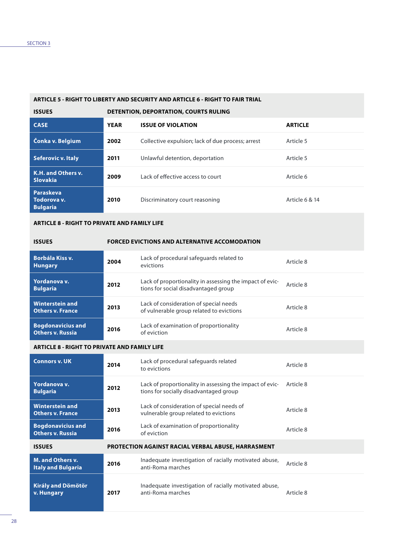### **ARTICLE 5 - RIGHT TO LIBERTY AND SECURITY AND ARTICLE 6 - RIGHT TO FAIR TRIAL**

| <b>ISSUES</b>                                      |             | <b>DETENTION, DEPORTATION, COURTS RULING</b>      |                |  |  |  |
|----------------------------------------------------|-------------|---------------------------------------------------|----------------|--|--|--|
| <b>CASE</b>                                        | <b>YEAR</b> | <b>ISSUE OF VIOLATION</b>                         | <b>ARTICLE</b> |  |  |  |
| Čonka v. Belgium                                   | 2002        | Collective expulsion; lack of due process; arrest | Article 5      |  |  |  |
| <b>Seferovic v. Italy</b>                          | 2011        | Unlawful detention, deportation                   | Article 5      |  |  |  |
| K.H. and Others v.<br><b>Slovakia</b>              | 2009        | Lack of effective access to court                 | Article 6      |  |  |  |
| <b>Paraskeva</b><br>Todorova v.<br><b>Bulgaria</b> | 2010        | Discriminatory court reasoning                    | Article 6 & 14 |  |  |  |

#### **ARTICLE 8 - RIGHT TO PRIVATE AND FAMILY LIFE**

| <b>ISSUES</b>                                       |      | <b>FORCED EVICTIONS AND ALTERNATIVE ACCOMODATION</b>                                             |           |
|-----------------------------------------------------|------|--------------------------------------------------------------------------------------------------|-----------|
| <b>Borbála Kiss v.</b><br><b>Hungary</b>            | 2004 | Lack of procedural safeguards related to<br>evictions                                            | Article 8 |
| Yordanova v.<br><b>Bulgaria</b>                     | 2012 | Lack of proportionality in assessing the impact of evic-<br>tions for social disadvantaged group | Article 8 |
| <b>Winterstein and</b><br><b>Others v. France</b>   | 2013 | Lack of consideration of special needs<br>of vulnerable group related to evictions               | Article 8 |
| <b>Bogdonavicius and</b><br><b>Others v. Russia</b> | 2016 | Lack of examination of proportionality<br>of eviction                                            | Article 8 |

#### **ARTICLE 8 - RIGHT TO PRIVATE AND FAMILY LIFE**

| <b>Connors v. UK</b>                                 | 2014 | Lack of procedural safeguards related<br>to evictions                                              | Article 8 |
|------------------------------------------------------|------|----------------------------------------------------------------------------------------------------|-----------|
| Yordanova v.<br><b>Bulgaria</b>                      | 2012 | Lack of proportionality in assessing the impact of evic-<br>tions for socially disadvantaged group | Article 8 |
| <b>Winterstein and</b><br><b>Others v. France</b>    | 2013 | Lack of consideration of special needs of<br>vulnerable group related to evictions                 | Article 8 |
| <b>Bogdonavicius and</b><br><b>Others v. Russia</b>  | 2016 | Lack of examination of proportionality<br>of eviction                                              | Article 8 |
| <b>ISSUES</b>                                        |      | <b>PROTECTION AGAINST RACIAL VERBAL ABUSE, HARRASMENT</b>                                          |           |
| <b>M. and Others v.</b><br><b>Italy and Bulgaria</b> | 2016 | Inadequate investigation of racially motivated abuse,<br>anti-Roma marches                         | Article 8 |
| <b>Király and Dömötör</b><br>v. Hungary              | 2017 | Inadequate investigation of racially motivated abuse,<br>anti-Roma marches                         | Article 8 |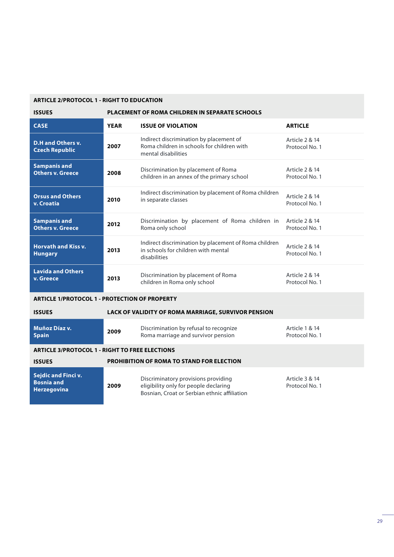### **ARTICLE 2/PROTOCOL 1 - RIGHT TO EDUCATION**

| <b>ISSUES</b>                                                  | PLACEMENT OF ROMA CHILDREN IN SEPARATE SCHOOLS |                                                                                                                              |                                             |  |
|----------------------------------------------------------------|------------------------------------------------|------------------------------------------------------------------------------------------------------------------------------|---------------------------------------------|--|
| <b>CASE</b>                                                    | <b>YEAR</b>                                    | <b>ISSUE OF VIOLATION</b>                                                                                                    | <b>ARTICLE</b>                              |  |
| <b>D.H and Others v.</b><br><b>Czech Republic</b>              | 2007                                           | Indirect discrimination by placement of<br>Roma children in schools for children with<br>mental disabilities                 | Article 2 & 14<br>Protocol No. 1            |  |
| <b>Sampanis and</b><br><b>Others v. Greece</b>                 | 2008                                           | Discrimination by placement of Roma<br>children in an annex of the primary school                                            | Article 2 & 14<br>Protocol No. 1            |  |
| <b>Orsus and Others</b><br>v. Croatia                          | 2010                                           | Indirect discrimination by placement of Roma children<br>in separate classes                                                 | Article 2 & 14<br>Protocol No. 1            |  |
| <b>Sampanis and</b><br><b>Others v. Greece</b>                 | 2012                                           | Discrimination by placement of Roma children in<br>Roma only school                                                          | Article 2 & 14<br>Protocol No. 1            |  |
| <b>Horvath and Kiss v.</b><br><b>Hungary</b>                   | 2013                                           | Indirect discrimination by placement of Roma children<br>in schools for children with mental<br>disabilities                 | <b>Article 2 &amp; 14</b><br>Protocol No. 1 |  |
| <b>Lavida and Others</b><br>v. Greece                          | 2013                                           | Discrimination by placement of Roma<br>children in Roma only school                                                          | Article 2 & 14<br>Protocol No. 1            |  |
| <b>ARTICLE 1/PROTOCOL 1 - PROTECTION OF PROPERTY</b>           |                                                |                                                                                                                              |                                             |  |
| <b>ISSUES</b>                                                  |                                                | LACK OF VALIDITY OF ROMA MARRIAGE, SURVIVOR PENSION                                                                          |                                             |  |
| Muñoz Díaz v.<br><b>Spain</b>                                  | 2009                                           | Discrimination by refusal to recognize<br>Roma marriage and survivor pension                                                 | <b>Article 1 &amp; 14</b><br>Protocol No. 1 |  |
| <b>ARTICLE 3/PROTOCOL 1 - RIGHT TO FREE ELECTIONS</b>          |                                                |                                                                                                                              |                                             |  |
| <b>ISSUES</b>                                                  |                                                | <b>PROHIBITION OF ROMA TO STAND FOR ELECTION</b>                                                                             |                                             |  |
| Sejdic and Finci v.<br><b>Bosnia and</b><br><b>Herzegovina</b> | 2009                                           | Discriminatory provisions providing<br>eligibility only for people declaring<br>Bosnian, Croat or Serbian ethnic affiliation | Article 3 & 14<br>Protocol No. 1            |  |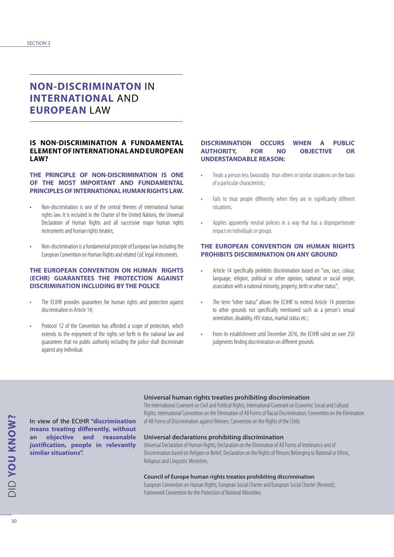# **NON-DISCRIMINATON** IN **INTERNATIONAL** AND **EUROPEAN** LAW

#### **IS NON-DISCRIMINATION A FUNDAMENTAL ELEMENT OF INTERNATIONAL AND EUROPEAN LAW?**

#### **THE PRINCIPLE OF NON-DISCRIMINATION IS ONE OF THE MOST IMPORTANT AND FUNDAMENTAL PRINCIPLES OF INTERNATIONAL HUMAN RIGHTS LAW.**

- Non-discrimination is one of the central themes of international human rights law. It is included in the Charter of the United Nations, the Universal Declaration of Human Rights and all successive major human rights instruments and human rights treaties;
- Non-discrimination is a fundamental principle of European law including the European Convention on Human Rights and related CoE legal instruments.

#### **THE EUROPEAN CONVENTION ON HUMAN RIGHTS (ECHR) GUARANTEES THE PROTECTION AGAINST DISCRIMINATION INCLUDING BY THE POLICE**

- The ECtHR provides guarantees for human rights and protection against discrimination in Article 14;
- Protocol 12 of the Convention has afforded a scope of protection, which extends to the enjoyment of the rights set forth in the national law and guarantees that no public authority including the police shall discriminate against any individual.

In view of the ECtHR **"discrimination means treating differently, without an objective and reasonable justification, people in relevantly** 

**similar situations".**

#### **DISCRIMINATION OCCURS WHEN A PUBLIC AUTHORITY, FOR NO OBJECTIVE OR UNDERSTANDABLE REASON:**

- Treats a person less favourably than others in similar situations on the basis of a particular characteristic;
- Fails to treat people differently when they are in significantly different situations;
- Applies apparently neutral policies in a way that has a disproportionate impact on individuals or groups.

#### **THE EUROPEAN CONVENTION ON HUMAN RIGHTS PROHIBITS DISCRIMINATION ON ANY GROUND**

- Article 14 specifically prohibits discrimination based on "sex, race, colour, language, religion, political or other opinion, national or social origin, association with a national minority, property, birth or other status";
- The term "other status" allows the ECtHR to extend Article 14 protection to other grounds not specifically mentioned such as a person's sexual orientation, disability, HIV status, marital status etc.;
- From its establishment until December 2016, the ECtHR ruled on over 250 judgments finding discrimination on different grounds.

#### **Universal human rights treaties prohibiting discrimination**

The International Covenant on Civil and Political Rights; International Covenant on Economic Social and Cultural Rights; International Convention on the Elimination of All Forms of Racial Discrimination; Convention on the Elimination of All Forms of Discrimination against Women; Convention on the Rights of the Child.

#### **Universal declarations prohibiting discrimination**

Universal Declaration of Human Rights; Declaration on the Elimination of All Forms of Intolerance and of Discrimination based on Religion or Belief; Declaration on the Rights of Persons Belonging to National or Ethnic, Religious and Linguistic Minorities.

#### **Council of Europe human rights treaties prohibiting discrimination**

European Convention on Human Rights; European Social Charter and European Social Charter (Revised); Framework Convention for the Protection of National Minorities.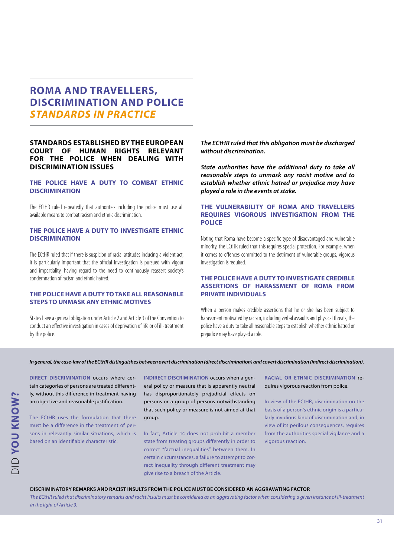### **ROMA AND TRAVELLERS, DISCRIMINATION AND POLICE** *STANDARDS IN PRACTICE*

#### **STANDARDS ESTABLISHED BY THE EUROPEAN COURT OF HUMAN RIGHTS RELEVANT FOR THE POLICE WHEN DEALING WITH DISCRIMINATION ISSUES**

#### **THE POLICE HAVE A DUTY TO COMBAT ETHNIC DISCRIMINATION**

The ECtHR ruled repeatedly that authorities including the police must use all available means to combat racism and ethnic discrimination.

#### **THE POLICE HAVE A DUTY TO INVESTIGATE ETHNIC DISCRIMINATION**

The ECtHR ruled that if there is suspicion of racial attitudes inducing a violent act, it is particularly important that the official investigation is pursued with vigour and impartiality, having regard to the need to continuously reassert society's condemnation of racism and ethnic hatred.

#### **THE POLICE HAVE A DUTY TO TAKE ALL REASONABLE STEPS TO UNMASK ANY ETHNIC MOTIVES**

States have a general obligation under Article 2 and Article 3 of the Convention to conduct an effective investigation in cases of deprivation of life or of ill-treatment by the police.

*The ECtHR ruled that this obligation must be discharged without discrimination.*

*State authorities have the additional duty to take all reasonable steps to unmask any racist motive and to establish whether ethnic hatred or prejudice may have played a role in the events at stake.*

#### **THE VULNERABILITY OF ROMA AND TRAVELLERS REQUIRES VIGOROUS INVESTIGATION FROM THE POLICE**

Noting that Roma have become a specific type of disadvantaged and vulnerable minority, the ECtHR ruled that this requires special protection. For example, when it comes to offences committed to the detriment of vulnerable groups, vigorous investigation is required.

#### **THE POLICE HAVE A DUTY TO INVESTIGATE CREDIBLE ASSERTIONS OF HARASSMENT OF ROMA FROM PRIVATE INDIVIDUALS**

When a person makes credible assertions that he or she has been subject to harassment motivated by racism, including verbal assaults and physical threats, the police have a duty to take all reasonable steps to establish whether ethnic hatred or prejudice may have played a role.

#### *In general, the case-law of the ECtHR distinguishes between overt discrimination (direct discrimination) and covert discrimination (indirect discrimination).*

**DIRECT DISCRIMINATION** occurs where certain categories of persons are treated differently, without this difference in treatment having an objective and reasonable justification.

The ECtHR uses the formulation that there must be a difference in the treatment of persons in relevantly similar situations, which is based on an identifiable characteristic.

**INDIRECT DISCRIMINATION** occurs when a general policy or measure that is apparently neutral has disproportionately prejudicial effects on persons or a group of persons notwithstanding that such policy or measure is not aimed at that group.

In fact, Article 14 does not prohibit a member state from treating groups differently in order to correct "factual inequalities" between them. In certain circumstances, a failure to attempt to correct inequality through different treatment may give rise to a breach of the Article.

**RACIAL OR ETHNIC DISCRIMINATION** requires vigorous reaction from police.

In view of the ECtHR, discrimination on the basis of a person's ethnic origin is a particularly invidious kind of discrimination and, in view of its perilous consequences, requires from the authorities special vigilance and a vigorous reaction.

#### **DISCRIMINATORY REMARKS AND RACIST INSULTS FROM THE POLICE MUST BE CONSIDERED AN AGGRAVATING FACTOR**

*The ECtHR ruled that discriminatory remarks and racist insults must be considered as an aggravating factor when considering a given instance of ill-treatment in the light of Article 3.*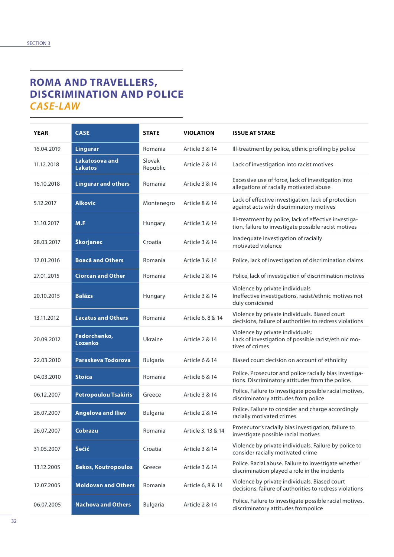# **ROMA AND TRAVELLERS, DISCRIMINATION AND POLICE** *CASE-LAW*

| <b>YEAR</b> | <b>CASE</b>                             | <b>STATE</b>       | <b>VIOLATION</b>   | <b>ISSUE AT STAKE</b>                                                                                         |
|-------------|-----------------------------------------|--------------------|--------------------|---------------------------------------------------------------------------------------------------------------|
| 16.04.2019  | <b>Lingurar</b>                         | Romania            | Article 3 & 14     | Ill-treatment by police, ethnic profiling by police                                                           |
| 11.12.2018  | <b>Lakatosova and</b><br><b>Lakatos</b> | Slovak<br>Republic | Article 2 & 14     | Lack of investigation into racist motives                                                                     |
| 16.10.2018  | <b>Lingurar and others</b>              | Romania            | Article 3 & 14     | Excessive use of force, lack of investigation into<br>allegations of racially motivated abuse                 |
| 5.12.2017   | <b>Alkovic</b>                          | Montenegro         | Article 8 & 14     | Lack of effective investigation, lack of protection<br>against acts with discriminatory motives               |
| 31.10.2017  | M.F                                     | Hungary            | Article 3 & 14     | Ill-treatment by police, lack of effective investiga-<br>tion, failure to investigate possible racist motives |
| 28.03.2017  | Škorjanec                               | Croatia            | Article 3 & 14     | Inadequate investigation of racially<br>motivated violence                                                    |
| 12.01.2016  | <b>Boacă and Others</b>                 | Romania            | Article 3 & 14     | Police, lack of investigation of discrimination claims                                                        |
| 27.01.2015  | <b>Ciorcan and Other</b>                | Romania            | Article 2 & 14     | Police, lack of investigation of discrimination motives                                                       |
| 20.10.2015  | <b>Balázs</b>                           | Hungary            | Article 3 & 14     | Violence by private individuals<br>Ineffective investigations, racist/ethnic motives not<br>duly considered   |
| 13.11.2012  | <b>Lacatus and Others</b>               | Romania            | Article 6, 8 & 14  | Violence by private individuals. Biased court<br>decisions, failure of authorities to redress violations      |
| 20.09.2012  | Fedorchenko,<br>Lozenko                 | Ukraine            | Article 2 & 14     | Violence by private individuals;<br>Lack of investigation of possible racist/eth nic mo-<br>tives of crimes   |
| 22.03.2010  | Paraskeva Todorova                      | <b>Bulgaria</b>    | Article 6 & 14     | Biased court decision on account of ethnicity                                                                 |
| 04.03.2010  | <b>Stoica</b>                           | Romania            | Article 6 & 14     | Police. Prosecutor and police racially bias investiga-<br>tions. Discriminatory attitudes from the police.    |
| 06.12.2007  | <b>Petropoulou Tsakiris</b>             | Greece             | Article 3 & 14     | Police. Failure to investigate possible racial motives,<br>discriminatory attitudes from police               |
| 26.07.2007  | <b>Angelova and Iliev</b>               | <b>Bulgaria</b>    | Article 2 & 14     | Police. Failure to consider and charge accordingly<br>racially motivated crimes                               |
| 26.07.2007  | Cobrazu                                 | Romania            | Article 3, 13 & 14 | Prosecutor's racially bias investigation, failure to<br>investigate possible racial motives                   |
| 31.05.2007  | Šečić                                   | Croatia            | Article 3 & 14     | Violence by private individuals. Failure by police to<br>consider racially motivated crime                    |
| 13.12.2005  | <b>Bekos, Koutropoulos</b>              | Greece             | Article 3 & 14     | Police. Racial abuse. Failure to investigate whether<br>discrimination played a role in the incidents         |
| 12.07.2005  | <b>Moldovan and Others</b>              | Romania            | Article 6, 8 & 14  | Violence by private individuals. Biased court<br>decisions, failure of authorities to redress violations      |
| 06.07.2005  | <b>Nachova and Others</b>               | <b>Bulgaria</b>    | Article 2 & 14     | Police. Failure to investigate possible racial motives,<br>discriminatory attitudes frompolice                |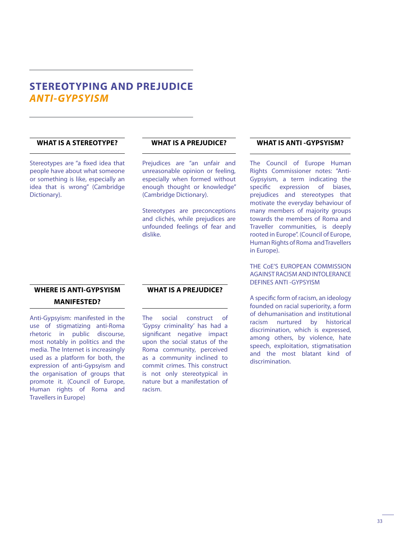### **STEREOTYPING AND PREJUDICE**  *ANTI-GYPSYISM*

### **WHAT IS A STEREOTYPE?**

Stereotypes are "a fixed idea that people have about what someone or something is like, especially an idea that is wrong" (Cambridge Dictionary).

### **WHAT IS A PREJUDICE?**

Prejudices are "an unfair and unreasonable opinion or feeling, especially when formed without enough thought or knowledge" (Cambridge Dictionary).

Stereotypes are preconceptions and clichés, while prejudices are unfounded feelings of fear and dislike.

### **WHERE IS ANTI-GYPSYISM MANIFESTED?**

Anti-Gypsyism: manifested in the use of stigmatizing anti-Roma rhetoric in public discourse, most notably in politics and the media. The Internet is increasingly used as a platform for both, the expression of anti-Gypsyism and the organisation of groups that promote it. (Council of Europe, Human rights of Roma and Travellers in Europe)

### **WHAT IS A PREJUDICE?**

The social construct of 'Gypsy criminality' has had a significant negative impact upon the social status of the Roma community, perceived as a community inclined to commit crimes. This construct is not only stereotypical in nature but a manifestation of racism.

### **WHAT IS ANTI -GYPSYISM?**

The Council of Europe Human Rights Commissioner notes: "Anti-Gypsyism, a term indicating the specific expression of biases, prejudices and stereotypes that motivate the everyday behaviour of many members of majority groups towards the members of Roma and Traveller communities, is deeply rooted in Europe". (Council of Europe, Human Rights of Roma and Travellers in Europe).

THE CoE'S EUROPEAN COMMISSION AGAINST RACISM AND INTOLERANCE DEFINES ANTI -GYPSYISM

A specific form of racism, an ideology founded on racial superiority, a form of dehumanisation and institutional racism nurtured by historical discrimination, which is expressed, among others, by violence, hate speech, exploitation, stigmatisation and the most blatant kind of discrimination.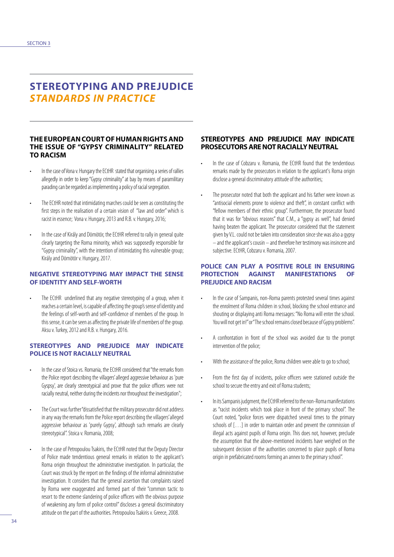### **STEREOTYPING AND PREJUDICE** *STANDARDS IN PRACTICE*

#### **THE EUROPEAN COURT OF HUMAN RIGHTS AND THE ISSUE OF "GYPSY CRIMINALITY" RELATED TO RACISM**

- In the case of Vona v. Hungary the ECtHR stated that organising a series of rallies allegedly in order to keep "Gypsy criminality" at bay by means of paramilitary parading can be regarded as implementing a policy of racial segregation.
- The ECtHR noted that intimidating marches could be seen as constituting the first steps in the realisation of a certain vision of "law and order" which is racist in essence; Vona v. Hungary, 2013 and R.B. v. Hungary, 2016;
- In the case of Király and Dömötör, the ECtHR referred to rally in general quite clearly targeting the Roma minority, which was supposedly responsible for "Gypsy criminality", with the intention of intimidating this vulnerable group; Király and Dömötör v. Hungary, 2017.

#### **NEGATIVE STEREOTYPING MAY IMPACT THE SENSE OF IDENTITY AND SELF-WORTH**

The ECtHR underlined that any negative stereotyping of a group, when it reaches a certain level, is capable of affecting the group's sense of identity and the feelings of self-worth and self-confidence of members of the group. In this sense, it can be seen as affecting the private life of members of the group. Aksu v. Turkey, 2012 and R.B. v. Hungary, 2016.

#### **STEREOTYPES AND PREJUDICE MAY INDICATE POLICE IS NOT RACIALLY NEUTRAL**

- In the case of Stoica vs. Romania, the ECtHR considered that "the remarks from the Police report describing the villagers' alleged aggressive behaviour as 'pure Gyspsy', are clearly stereotypical and prove that the police officers were not racially neutral, neither during the incidents nor throughout the investigation";
- The Court was further "dissatisfied that the military prosecutor did not address in any way the remarks from the Police report describing the villagers' alleged aggressive behaviour as 'purely Gypsy', although such remarks are clearly stereotypical". Stoica v. Romania, 2008;
- In the case of Petropoulou Tsakiris, the ECtHR noted that the Deputy Director of Police made tendentious general remarks in relation to the applicant's Roma origin throughout the administrative investigation. In particular, the Court was struck by the report on the findings of the informal administrative investigation. It considers that the general assertion that complaints raised by Roma were exaggerated and formed part of their "common tactic to resort to the extreme slandering of police officers with the obvious purpose of weakening any form of police control" discloses a general discriminatory attitude on the part of the authorities. Petropoulou Tsakiris v. Greece, 2008.

#### **STEREOTYPES AND PREJUDICE MAY INDICATE PROSECUTORS ARE NOT RACIALLY NEUTRAL**

- In the case of Cobzaru v. Romania, the ECtHR found that the tendentious remarks made by the prosecutors in relation to the applicant's Roma origin disclose a general discriminatory attitude of the authorities;
- The prosecutor noted that both the applicant and his father were known as "antisocial elements prone to violence and theft", in constant conflict with "fellow members of their ethnic group". Furthermore, the prosecutor found that it was for "obvious reasons" that C.M., a "gypsy as well", had denied having beaten the applicant. The prosecutor considered that the statement given by V.L. could not be taken into consideration since she was also a gypsy – and the applicant's cousin – and therefore her testimony was insincere and subjective. ECtHR, Cobzaru v. Romania, 2007.

#### **POLICE CAN PLAY A POSITIVE ROLE IN ENSURING PROTECTION AGAINST MANIFESTATIONS OF PREJUDICE AND RACISM**

- In the case of Sampanis, non-Roma parents protested several times against the enrolment of Roma children in school, blocking the school entrance and shouting or displaying anti Roma messages: "No Roma will enter the school. You will not get in!" or "The school remains closed because of Gypsy problems".
- A confrontation in front of the school was avoided due to the prompt intervention of the police;
- With the assistance of the police, Roma children were able to go to school;
- From the first day of incidents, police officers were stationed outside the school to secure the entry and exit of Roma students;
- In its Sampanis judgment, the ECtHR referred to the non-Roma manifestations as "racist incidents which took place in front of the primary school". The Court noted, "police forces were dispatched several times to the primary schools of […] in order to maintain order and prevent the commission of illegal acts against pupils of Roma origin. This does not, however, preclude the assumption that the above-mentioned incidents have weighed on the subsequent decision of the authorities concerned to place pupils of Roma origin in prefabricated rooms forming an annex to the primary school".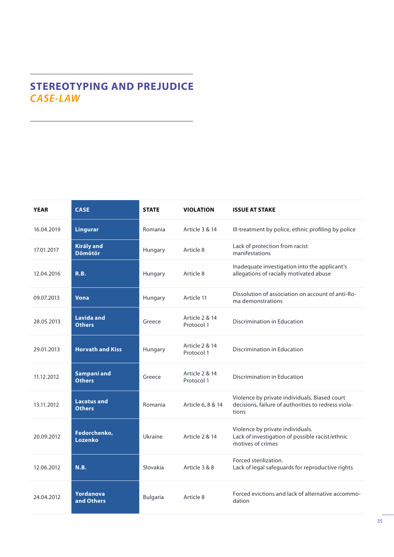# **STEREOTYPING AND PREJUDICE** *CASE-LAW*

| <b>YEAR</b> | <b>CASE</b>                         | <b>STATE</b>    | <b>VIOLATION</b>             | <b>ISSUE AT STAKE</b>                                                                                         |
|-------------|-------------------------------------|-----------------|------------------------------|---------------------------------------------------------------------------------------------------------------|
| 16.04.2019  | <b>Lingurar</b>                     | Romania         | Article 3 & 14               | Ill-treatment by police, ethnic profiling by police                                                           |
| 17.01.2017  | <b>Király and</b><br><b>Dömötör</b> | Hungary         | Article 8                    | Lack of protection from racist<br>manifestations                                                              |
| 12.04.2016  | R.B.                                | Hungary         | Article 8                    | Inadequate investigation into the applicant's<br>allegations of racially motivated abuse                      |
| 09.07.2013  | <b>Vona</b>                         | Hungary         | Article 11                   | Dissolution of association on account of anti-Ro-<br>ma demonstrations                                        |
| 28.05.2013  | <b>Lavida and</b><br><b>Others</b>  | Greece          | Article 2 & 14<br>Protocol 1 | <b>Discrimination in Education</b>                                                                            |
| 29.01.2013  | <b>Horvath and Kiss</b>             | Hungary         | Article 2 & 14<br>Protocol 1 | <b>Discrimination in Education</b>                                                                            |
| 11.12.2012  | Sampani and<br><b>Others</b>        | Greece          | Article 2 & 14<br>Protocol 1 | <b>Discrimination in Education</b>                                                                            |
| 13.11.2012  | <b>Lacatus and</b><br><b>Others</b> | Romania         | Article 6, 8 & 14            | Violence by private individuals. Biased court<br>decisions, failure of authorities to redress viola-<br>tions |
| 20.09.2012  | Fedorchenko,<br>Lozenko             | Ukraine         | Article 2 & 14               | Violence by private individuals.<br>Lack of investigation of possible racist/ethnic<br>motives of crimes      |
| 12.06.2012  | <b>N.B.</b>                         | Slovakia        | Article 3 & 8                | Forced sterilization.<br>Lack of legal safeguards for reproductive rights                                     |
| 24.04.2012  | Yordanova<br>and Others             | <b>Bulgaria</b> | Article 8                    | Forced evictions and lack of alternative accommo-<br>dation                                                   |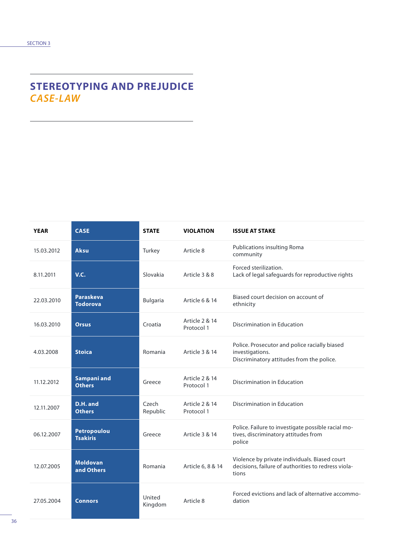# **STEREOTYPING AND PREJUDICE** *CASE-LAW*

| <b>YEAR</b> | <b>CASE</b>                           | <b>STATE</b>      | <b>VIOLATION</b>             | <b>ISSUE AT STAKE</b>                                                                                         |
|-------------|---------------------------------------|-------------------|------------------------------|---------------------------------------------------------------------------------------------------------------|
| 15.03.2012  | <b>Aksu</b>                           | Turkey            | Article 8                    | <b>Publications insulting Roma</b><br>community                                                               |
| 8.11.2011   | V.C.                                  | Slovakia          | Article 3 & 8                | Forced sterilization.<br>Lack of legal safeguards for reproductive rights                                     |
| 22.03.2010  | <b>Paraskeva</b><br><b>Todorova</b>   | <b>Bulgaria</b>   | Article 6 & 14               | Biased court decision on account of<br>ethnicity                                                              |
| 16.03.2010  | <b>Orsus</b>                          | Croatia           | Article 2 & 14<br>Protocol 1 | <b>Discrimination in Education</b>                                                                            |
| 4.03.2008   | <b>Stoica</b>                         | Romania           | Article 3 & 14               | Police. Prosecutor and police racially biased<br>investigations.<br>Discriminatory attitudes from the police. |
| 11.12.2012  | Sampani and<br><b>Others</b>          | Greece            | Article 2 & 14<br>Protocol 1 | Discrimination in Education                                                                                   |
| 12.11.2007  | D.H. and<br><b>Others</b>             | Czech<br>Republic | Article 2 & 14<br>Protocol 1 | Discrimination in Education                                                                                   |
| 06.12.2007  | <b>Petropoulou</b><br><b>Tsakiris</b> | Greece            | Article 3 & 14               | Police. Failure to investigate possible racial mo-<br>tives, discriminatory attitudes from<br>police          |
| 12.07.2005  | <b>Moldovan</b><br>and Others         | Romania           | Article 6, 8 & 14            | Violence by private individuals. Biased court<br>decisions, failure of authorities to redress viola-<br>tions |
| 27.05.2004  | <b>Connors</b>                        | United<br>Kingdom | Article 8                    | Forced evictions and lack of alternative accommo-<br>dation                                                   |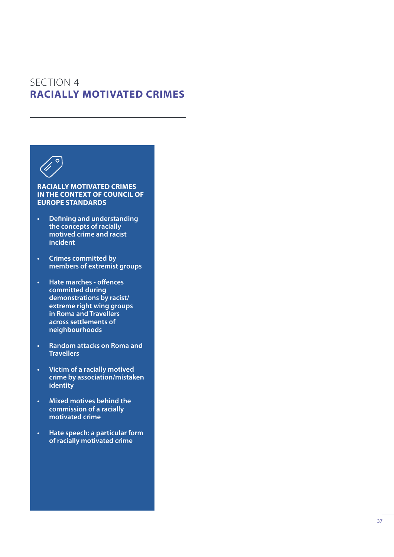# SECTION 4 **RACIALLY MOTIVATED CRIMES**



### **RACIALLY MOTIVATED CRIMES IN THE CONTEXT OF COUNCIL OF EUROPE STANDARDS**

- **• Defining and understanding the concepts of racially motived crime and racist incident**
- **• Crimes committed by members of extremist groups**
- **• Hate marches offences committed during demonstrations by racist/ extreme right wing groups in Roma and Travellers across settlements of neighbourhoods**
- **• Random attacks on Roma and Travellers**
- **• Victim of a racially motived crime by association/mistaken identity**
- **• Mixed motives behind the commission of a racially motivated crime**
- **• Hate speech: a particular form of racially motivated crime**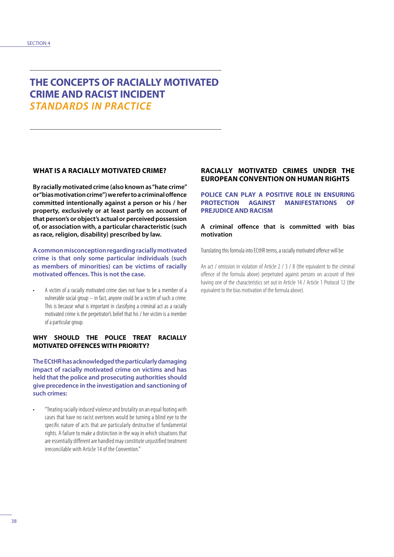### **THE CONCEPTS OF RACIALLY MOTIVATED CRIME AND RACIST INCIDENT** *STANDARDS IN PRACTICE*

### **WHAT IS A RACIALLY MOTIVATED CRIME?**

**By racially motivated crime (also known as "hate crime" or "bias motivation crime") we refer to a criminal offence committed intentionally against a person or his / her property, exclusively or at least partly on account of that person's or object's actual or perceived possession of, or association with, a particular characteristic (such as race, religion, disability) prescribed by law.** 

**A common misconception regarding racially motivated crime is that only some particular individuals (such as members of minorities) can be victims of racially motivated offences. This is not the case.**

• A victim of a racially motivated crime does not have to be a member of a vulnerable social group – in fact, anyone could be a victim of such a crime. This is because what is important in classifying a criminal act as a racially motivated crime is the perpetrator's belief that his / her victim is a member of a particular group.

#### **WHY SHOULD THE POLICE TREAT RACIALLY MOTIVATED OFFENCES WITH PRIORITY?**

**The ECtHR has acknowledged the particularly damaging impact of racially motivated crime on victims and has held that the police and prosecuting authorities should give precedence in the investigation and sanctioning of such crimes:** 

• "Treating racially induced violence and brutality on an equal footing with cases that have no racist overtones would be turning a blind eye to the specific nature of acts that are particularly destructive of fundamental rights. A failure to make a distinction in the way in which situations that are essentially different are handled may constitute unjustified treatment irreconcilable with Article 14 of the Convention."

### **RACIALLY MOTIVATED CRIMES UNDER THE EUROPEAN CONVENTION ON HUMAN RIGHTS**

**POLICE CAN PLAY A POSITIVE ROLE IN ENSURING PROTECTION AGAINST MANIFESTATIONS OF PREJUDICE AND RACISM**

#### **A criminal offence that is committed with bias motivation**

Translating this formula into ECtHR terms, a racially motivated offence will be:

An act / omission in violation of Article 2 / 3 / 8 (the equivalent to the criminal offence of the formula above) perpetrated against persons on account of their having one of the characteristics set out in Article 14 / Article 1 Protocol 12 (the equivalent to the bias motivation of the formula above).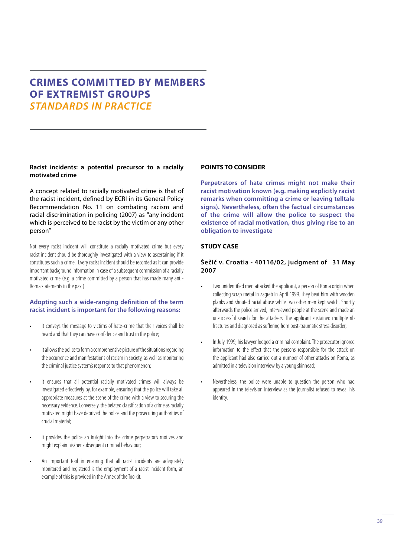### **CRIMES COMMITTED BY MEMBERS OF EXTREMIST GROUPS** *STANDARDS IN PRACTICE*

#### **Racist incidents: a potential precursor to a racially motivated crime**

A concept related to racially motivated crime is that of the racist incident, defined by ECRI in its General Policy Recommendation No. 11 on combating racism and racial discrimination in policing (2007) as "any incident which is perceived to be racist by the victim or any other person"

Not every racist incident will constitute a racially motivated crime but every racist incident should be thoroughly investigated with a view to ascertaining if it constitutes such a crime. Every racist incident should be recorded as it can provide important background information in case of a subsequent commission of a racially motivated crime (e.g. a crime committed by a person that has made many anti-Roma statements in the past).

#### **Adopting such a wide-ranging definition of the term racist incident is important for the following reasons:**

- It conveys the message to victims of hate-crime that their voices shall be heard and that they can have confidence and trust in the police;
- It allows the police to form a comprehensive picture of the situations regarding the occurrence and manifestations of racism in society, as well as monitoring the criminal justice system's response to that phenomenon;
- It ensures that all potential racially motivated crimes will always be investigated effectively by, for example, ensuring that the police will take all appropriate measures at the scene of the crime with a view to securing the necessary evidence. Conversely, the belated classification of a crime as racially motivated might have deprived the police and the prosecuting authorities of crucial material;
- It provides the police an insight into the crime perpetrator's motives and might explain his/her subsequent criminal behaviour;
- An important tool in ensuring that all racist incidents are adequately monitored and registered is the employment of a racist incident form, an example of this is provided in the Annex of the Toolkit.

#### **POINTS TO CONSIDER**

**Perpetrators of hate crimes might not make their racist motivation known (e.g. making explicitly racist remarks when committing a crime or leaving telltale signs). Nevertheless, often the factual circumstances of the crime will allow the police to suspect the existence of racial motivation, thus giving rise to an obligation to investigate**

#### **STUDY CASE**

#### **Šečić v. Croatia - 40116/02, judgment of 31 May 2007**

- Two unidentified men attacked the applicant, a person of Roma origin when collecting scrap metal in Zagreb in April 1999. They beat him with wooden planks and shouted racial abuse while two other men kept watch. Shortly afterwards the police arrived, interviewed people at the scene and made an unsuccessful search for the attackers. The applicant sustained multiple rib fractures and diagnosed as suffering from post-traumatic stress disorder;
- In July 1999, his lawyer lodged a criminal complaint. The prosecutor ignored information to the effect that the persons responsible for the attack on the applicant had also carried out a number of other attacks on Roma, as admitted in a television interview by a young skinhead;
- Nevertheless, the police were unable to question the person who had appeared in the television interview as the journalist refused to reveal his identity.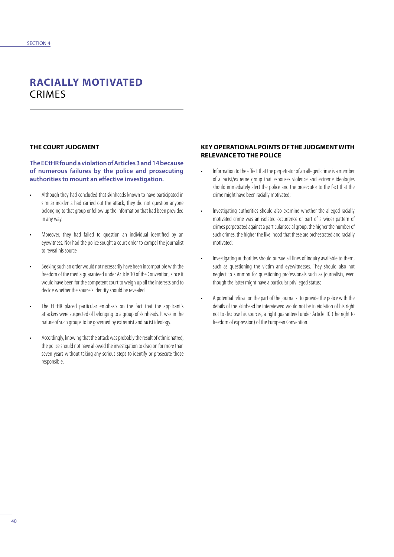# **RACIALLY MOTIVATED**  CRIMES

#### **THE COURT JUDGMENT**

**The ECtHR found a violation of Articles 3 and 14 because of numerous failures by the police and prosecuting authorities to mount an effective investigation.**

- Although they had concluded that skinheads known to have participated in similar incidents had carried out the attack, they did not question anyone belonging to that group or follow up the information that had been provided in any way.
- Moreover, they had failed to question an individual identified by an eyewitness. Nor had the police sought a court order to compel the journalist to reveal his source.
- Seeking such an order would not necessarily have been incompatible with the freedom of the media guaranteed under Article 10 of the Convention, since it would have been for the competent court to weigh up all the interests and to decide whether the source's identity should be revealed.
- The ECtHR placed particular emphasis on the fact that the applicant's attackers were suspected of belonging to a group of skinheads. It was in the nature of such groups to be governed by extremist and racist ideology.
- Accordingly, knowing that the attack was probably the result of ethnic hatred, the police should not have allowed the investigation to drag on for more than seven years without taking any serious steps to identify or prosecute those responsible.

#### **KEY OPERATIONAL POINTS OF THE JUDGMENT WITH RELEVANCE TO THE POLICE**

- Information to the effect that the perpetrator of an alleged crime is a member of a racist/extreme group that espouses violence and extreme ideologies should immediately alert the police and the prosecutor to the fact that the crime might have been racially motivated;
- Investigating authorities should also examine whether the alleged racially motivated crime was an isolated occurrence or part of a wider pattern of crimes perpetrated against a particular social group; the higher the number of such crimes, the higher the likelihood that these are orchestrated and racially motivated;
- Investigating authorities should pursue all lines of inquiry available to them, such as questioning the victim and eyewitnesses. They should also not neglect to summon for questioning professionals such as journalists, even though the latter might have a particular privileged status;
- A potential refusal on the part of the journalist to provide the police with the details of the skinhead he interviewed would not be in violation of his right not to disclose his sources, a right guaranteed under Article 10 (the right to freedom of expression) of the European Convention.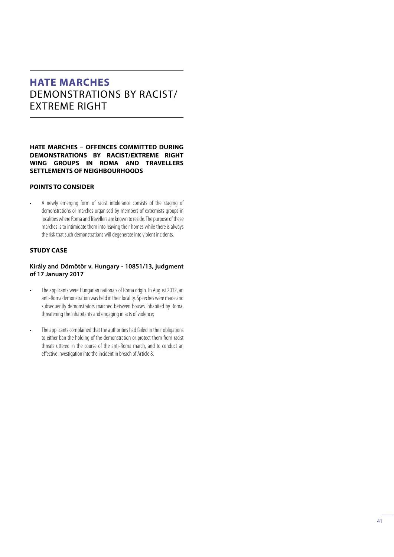# **HATE MARCHES**  DEMONSTRATIONS BY RACIST/ EXTREME RIGHT

#### **HATE MARCHES – OFFENCES COMMITTED DURING DEMONSTRATIONS BY RACIST/EXTREME RIGHT WING GROUPS IN ROMA AND TRAVELLERS SETTLEMENTS OF NEIGHBOURHOODS**

#### **POINTS TO CONSIDER**

• A newly emerging form of racist intolerance consists of the staging of demonstrations or marches organised by members of extremists groups in localities where Roma and Travellers are known to reside. The purpose of these marches is to intimidate them into leaving their homes while there is always the risk that such demonstrations will degenerate into violent incidents.

### **STUDY CASE**

**Király and Dömötör v. Hungary - 10851/13, judgment of 17 January 2017**

- The applicants were Hungarian nationals of Roma origin. In August 2012, an anti-Roma demonstration was held in their locality. Speeches were made and subsequently demonstrators marched between houses inhabited by Roma, threatening the inhabitants and engaging in acts of violence;
- The applicants complained that the authorities had failed in their obligations to either ban the holding of the demonstration or protect them from racist threats uttered in the course of the anti-Roma march, and to conduct an effective investigation into the incident in breach of Article 8.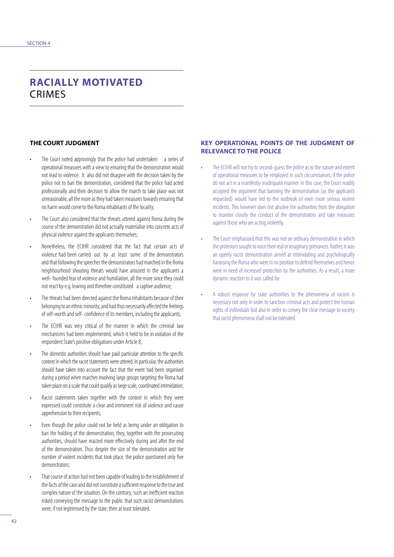# **RACIALLY MOTIVATED**  CRIMES

### **THE COURT JUDGMENT**

- The Court noted approvingly that the police had undertaken a series of operational measures with a view to ensuring that the demonstration would not lead to violence. It also did not disagree with the decision taken by the police not to ban the demonstration, considered that the police had acted professionally and their decision to allow the march to take place was not unreasonable, all the more as they had taken measures towards ensuring that no harm would come to the Roma inhabitants of the locality;
- The Court also considered that the threats uttered against Roma during the course of the demonstration did not actually materialise into concrete acts of physical violence against the applicants themselves;
- Nonetheless, the ECtHR considered that the fact that certain acts of violence had been carried out by at least some of the demonstrators and that following the speeches the demonstrators had marched in the Roma neighbourhood shouting threats would have aroused in the applicants a well- founded fear of violence and humiliation, all the more since they could not react by e.g. leaving and therefore constituted a captive audience;
- The threats had been directed against the Roma inhabitants because of their belonging to an ethnic minority, and had thus necessarily affected the feelings of self-worth and self- confidence of its members, including the applicants;
- The ECtHR was very critical of the manner in which the criminal law mechanisms had been implemented, which it held to be in violation of the respondent State's positive obligations under Article 8;
- The domestic authorities should have paid particular attention to the specific context in which the racist statements were uttered. In particular, the authorities should have taken into account the fact that the event had been organised during a period when marches involving large groups targeting the Roma had taken place on a scale that could qualify as large scale, coordinated intimidation;
- Racist statements taken together with the context in which they were expressed could constitute a clear and imminent risk of violence and cause apprehension to their recipients;
- Even though the police could not be held as being under an obligation to ban the holding of the demonstration, they, together with the prosecuting authorities, should have reacted more effectively during and after the end of the demonstration. Thus despite the size of the demonstration and the number of violent incidents that took place, the police questioned only five demonstrators;
- That course of action had not been capable of leading to the establishment of the facts of the case and did not constitute a sufficient response to the true and complex nature of the situation. On the contrary, such an inefficient reaction risked conveying the message to the public that such racist demonstrations were, if not legitimised by the state, then at least tolerated.

#### **KEY OPERATIONAL POINTS OF THE JUDGMENT OF RELEVANCE TO THE POLICE**

- The ECtHR will not try to second-quess the police as to the nature and extent of operational measures to be employed in such circumstances, if the police do not act in a manifestly inadequate manner. In this case, the Court readily accepted the argument that banning the demonstration (as the applicants requested) would have led to the outbreak of even more serious violent incidents. This however does not absolve the authorities from the obligation to monitor closely the conduct of the demonstrators and take measures against those who are acting violently.
- The Court emphasised that this was not an ordinary demonstration in which the protestors sought to voice their real or imaginary grievances. Rather, it was an openly racist demonstration aimed at intimidating and psychologically harassing the Roma who were in no position to defend themselves and hence were in need of increased protection by the authorities. As a result, a more dynamic reaction to it was called for.
- A robust response by state authorities to the phenomena of racism is necessary not only in order to sanction criminal acts and protect the human rights of individuals but also in order to convey the clear message to society that racist phenomena shall not be tolerated.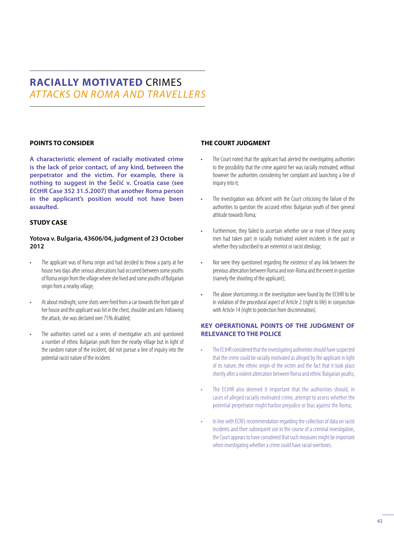# **RACIALLY MOTIVATED** CRIMES *AT TACKS ON ROMA AND TRAVELLERS*

### **POINTS TO CONSIDER**

**A characteristic element of racially motivated crime is the lack of prior contact, of any kind, between the perpetrator and the victim. For example, there is nothing to suggest in the Šečić v. Croatia case (see ECtHR Case 352 31.5.2007) that another Roma person in the applicant's position would not have been assaulted.** 

### **STUDY CASE**

#### **Yotova v. Bulgaria, 43606/04, judgment of 23 October 2012**

- The applicant was of Roma origin and had decided to throw a party at her house two days after serious altercations had occurred between some youths of Roma origin from the village where she lived and some youths of Bulgarian origin from a nearby village;
- At about midnight, some shots were fired from a car towards the front gate of her house and the applicant was hit in the chest, shoulder and arm. Following the attack, she was declared over 75% disabled;
- The authorities carried out a series of investigative acts and questioned a number of ethnic Bulgarian youth from the nearby village but in light of the random nature of the incident, did not pursue a line of inquiry into the potential racist nature of the incident.

#### **THE COURT JUDGMENT**

- The Court noted that the applicant had alerted the investigating authorities to the possibility that the crime against her was racially motivated, without however the authorities considering her complaint and launching a line of inquiry into it;
- The investigation was deficient with the Court criticising the failure of the authorities to question the accused ethnic Bulgarian youth of their general attitude towards Roma;
- Furthermore, they failed to ascertain whether one or more of these young men had taken part in racially motivated violent incidents in the past or whether they subscribed to an extremist or racist ideology;
- Nor were they questioned regarding the existence of any link between the previous altercation between Roma and non-Roma and the event in question (namely the shooting of the applicant);
- The above shortcomings in the investigation were found by the ECtHR to be in violation of the procedural aspect of Article 2 (right to life) in conjunction with Article 14 (right to protection from discrimination).

### **KEY OPERATIONAL POINTS OF THE JUDGMENT OF RELEVANCE TO THE POLICE**

- The ECtHR considered that the investigating authorities should have suspected that the crime could be racially motivated as alleged by the applicant in light of its nature, the ethnic origin of the victim and the fact that it took place shortly after a violent altercation between Roma and ethnic Bulgarian youths;
- The ECtHR also deemed it important that the authorities should, in cases of alleged racially motivated crime, attempt to assess whether the potential perpetrator might harbor prejudice or bias against the Roma;
- In line with ECRI's recommendation regarding the collection of data on racist incidents and their subsequent use in the course of a criminal investigation, the Court appears to have considered that such measures might be important when investigating whether a crime could have racial overtones.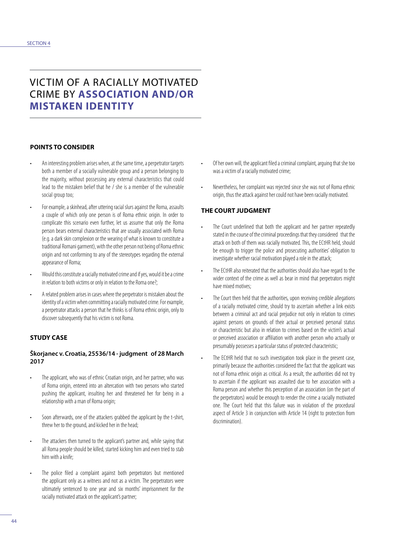### VICTIM OF A RACIALLY MOTIVATED CRIME BY **ASSOCIATION AND/OR MISTAKEN IDENTITY**

#### **POINTS TO CONSIDER**

- An interesting problem arises when, at the same time, a perpetrator targets both a member of a socially vulnerable group and a person belonging to the majority, without possessing any external characteristics that could lead to the mistaken belief that he / she is a member of the vulnerable social group too;
- For example, a skinhead, after uttering racial slurs against the Roma, assaults a couple of which only one person is of Roma ethnic origin. In order to complicate this scenario even further, let us assume that only the Roma person bears external characteristics that are usually associated with Roma (e.g. a dark skin complexion or the wearing of what is known to constitute a traditional Romani garment), with the other person not being of Roma ethnic origin and not conforming to any of the stereotypes regarding the external appearance of Roma;
- Would this constitute a racially motivated crime and if yes, would it be a crime in relation to both victims or only in relation to the Roma one?;
- A related problem arises in cases where the perpetrator is mistaken about the identity of a victim when committing a racially motivated crime. For example, a perpetrator attacks a person that he thinks is of Roma ethnic origin, only to discover subsequently that his victim is not Roma.

### **STUDY CASE**

#### **Škorjanec v. Croatia, 25536/14 - judgment of 28 March 2017**

- The applicant, who was of ethnic Croatian origin, and her partner, who was of Roma origin, entered into an altercation with two persons who started pushing the applicant, insulting her and threatened her for being in a relationship with a man of Roma origin;
- Soon afterwards, one of the attackers grabbed the applicant by the t-shirt, threw her to the ground, and kicked her in the head;
- The attackers then turned to the applicant's partner and, while saying that all Roma people should be killed, started kicking him and even tried to stab him with a knife;
- The police filed a complaint against both perpetrators but mentioned the applicant only as a witness and not as a victim. The perpetrators were ultimately sentenced to one year and six months' imprisonment for the racially motivated attack on the applicant's partner;
- Of her own will, the applicant filed a criminal complaint, arguing that she too was a victim of a racially motivated crime;
- Nevertheless, her complaint was rejected since she was not of Roma ethnic origin, thus the attack against her could not have been racially motivated.

#### **THE COURT JUDGMENT**

- The Court underlined that both the applicant and her partner repeatedly stated in the course of the criminal proceedings that they considered that the attack on both of them was racially motivated. This, the ECtHR held, should be enough to trigger the police and prosecuting authorities' obligation to investigate whether racial motivation played a role in the attack;
- The ECtHR also reiterated that the authorities should also have regard to the wider context of the crime as well as bear in mind that perpetrators might have mixed motives;
- The Court then held that the authorities, upon receiving credible allegations of a racially motivated crime, should try to ascertain whether a link exists between a criminal act and racial prejudice not only in relation to crimes against persons on grounds of their actual or perceived personal status or characteristic but also in relation to crimes based on the victim's actual or perceived association or affiliation with another person who actually or presumably possesses a particular status of protected characteristic;
- The ECtHR held that no such investigation took place in the present case, primarily because the authorities considered the fact that the applicant was not of Roma ethnic origin as critical. As a result, the authorities did not try to ascertain if the applicant was assaulted due to her association with a Roma person and whether this perception of an association (on the part of the perpetrators) would be enough to render the crime a racially motivated one. The Court held that this failure was in violation of the procedural aspect of Article 3 in conjunction with Article 14 (right to protection from discrimination).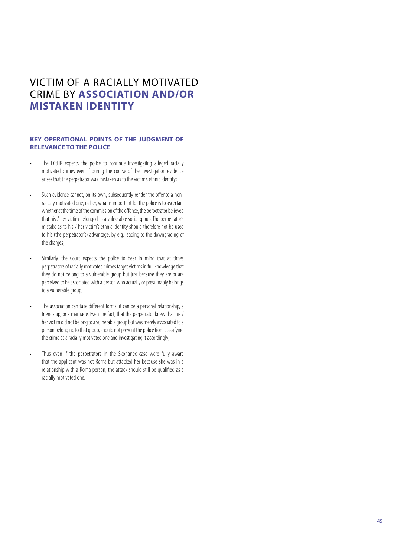# VICTIM OF A RACIALLY MOTIVATED CRIME BY **ASSOCIATION AND/OR MISTAKEN IDENTITY**

#### **KEY OPERATIONAL POINTS OF THE JUDGMENT OF RELEVANCE TO THE POLICE**

- The ECtHR expects the police to continue investigating alleged racially motivated crimes even if during the course of the investigation evidence arises that the perpetrator was mistaken as to the victim's ethnic identity;
- Such evidence cannot, on its own, subsequently render the offence a nonracially motivated one; rather, what is important for the police is to ascertain whether at the time of the commission of the offence, the perpetrator believed that his / her victim belonged to a vulnerable social group. The perpetrator's mistake as to his / her victim's ethnic identity should therefore not be used to his (the perpetrator's) advantage, by e.g. leading to the downgrading of the charges;
- Similarly, the Court expects the police to bear in mind that at times perpetrators of racially motivated crimes target victims in full knowledge that they do not belong to a vulnerable group but just because they are or are perceived to be associated with a person who actually or presumably belongs to a vulnerable group;
- The association can take different forms: it can be a personal relationship, a friendship, or a marriage. Even the fact, that the perpetrator knew that his / her victim did not belong to a vulnerable group but was merely associated to a person belonging to that group, should not prevent the police from classifying the crime as a racially motivated one and investigating it accordingly;
- Thus even if the perpetrators in the Škorjanec case were fully aware that the applicant was not Roma but attacked her because she was in a relationship with a Roma person, the attack should still be qualified as a racially motivated one.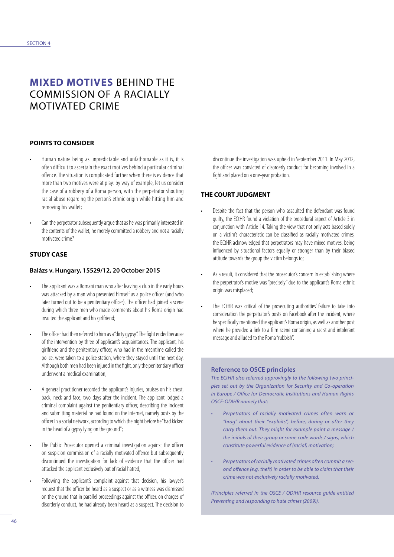# **MIXED MOTIVES** BEHIND THE COMMISSION OF A RACIALLY MOTIVATED CRIME

#### **POINTS TO CONSIDER**

- Human nature being as unpredictable and unfathomable as it is, it is often difficult to ascertain the exact motives behind a particular criminal offence. The situation is complicated further when there is evidence that more than two motives were at play: by way of example, let us consider the case of a robbery of a Roma person, with the perpetrator shouting racial abuse regarding the person's ethnic origin while hitting him and removing his wallet;
- Can the perpetrator subsequently argue that as he was primarily interested in the contents of the wallet, he merely committed a robbery and not a racially motivated crime?

#### **STUDY CASE**

#### **Balázs v. Hungary, 15529/12, 20 October 2015**

- The applicant was a Romani man who after leaving a club in the early hours was attacked by a man who presented himself as a police officer (and who later turned out to be a penitentiary officer). The officer had joined a scene during which three men who made comments about his Roma origin had insulted the applicant and his girlfriend;
- The officer had then referred to him as a "dirty gypsy". The fight ended because of the intervention by three of applicant's acquaintances. The applicant, his girlfriend and the penitentiary officer, who had in the meantime called the police, were taken to a police station, where they stayed until the next day. Although both men had been injured in the fight, only the penitentiary officer underwent a medical examination;
- A general practitioner recorded the applicant's injuries, bruises on his chest, back, neck and face, two days after the incident. The applicant lodged a criminal complaint against the penitentiary officer, describing the incident and submitting material he had found on the Internet, namely posts by the officer in a social network, according to which the night before he "had kicked in the head of a gypsy lying on the ground";
- The Public Prosecutor opened a criminal investigation against the officer on suspicion commission of a racially motivated offence but subsequently discontinued the investigation for lack of evidence that the officer had attacked the applicant exclusively out of racial hatred;
- Following the applicant's complaint against that decision, his lawyer's request that the officer be heard as a suspect or as a witness was dismissed on the ground that in parallel proceedings against the officer, on charges of disorderly conduct, he had already been heard as a suspect. The decision to

discontinue the investigation was upheld in September 2011. In May 2012, the officer was convicted of disorderly conduct for becoming involved in a fight and placed on a one-year probation.

#### **THE COURT JUDGMENT**

- Despite the fact that the person who assaulted the defendant was found guilty, the ECtHR found a violation of the procedural aspect of Article 3 in conjunction with Article 14. Taking the view that not only acts based solely on a victim's characteristic can be classified as racially motivated crimes, the ECtHR acknowledged that perpetrators may have mixed motives, being influenced by situational factors equally or stronger than by their biased attitude towards the group the victim belongs to;
- As a result, it considered that the prosecutor's concern in establishing where the perpetrator's motive was "precisely" due to the applicant's Roma ethnic origin was misplaced;
- The ECtHR was critical of the prosecuting authorities' failure to take into consideration the perpetrator's posts on Facebook after the incident, where he specifically mentioned the applicant's Roma origin, as well as another post where he provided a link to a film scene containing a racist and intolerant message and alluded to the Roma "rubbish".

#### **Reference to OSCE principles**

*The ECtHR also referred approvingly to the following two principles set out by the Organization for Security and Co-operation in Europe / Office for Democratic Institutions and Human Rights OSCE-ODIHR namely that:*

- *• Perpetrators of racially motivated crimes often warn or "brag" about their "exploits", before, during or after they carry them out. They might for example paint a message / the initials of their group or some code words / signs, which constitute powerful evidence of (racial) motivation;*
- *• Perpetrators of racially motivated crimes often commit a second offence (e.g. theft) in order to be able to claim that their crime was not exclusively racially motivated.*

*(Principles referred in the OSCE / ODIHR resource guide entitled Preventing and responding to hate crimes (2009)).*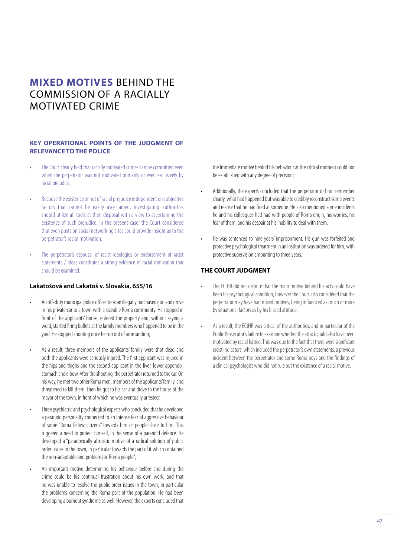# **MIXED MOTIVES** BEHIND THE COMMISSION OF A RACIALLY MOTIVATED CRIME

#### **KEY OPERATIONAL POINTS OF THE JUDGMENT OF RELEVANCE TO THE POLICE**

- The Court clearly held that racially motivated crimes can be committed even when the perpetrator was not motivated primarily or even exclusively by racial prejudice;
- Because the existence or not of racial prejudice is dependent on subjective factors that cannot be easily ascertained, investigating authorities should utilize all tools at their disposal with a view to ascertaining the existence of such prejudice. In the present case, the Court considered that even posts on social networking sites could provide insight as to the perpetrator's racial motivation;
- The perpetrator's espousal of racist ideologies or endorsement of racist statements / ideas constitutes a strong evidence of racial motivation that should be examined.

#### **Lakatošová and Lakatoš v. Slovakia, 655/16**

- An off-duty municipal police officer took an illegally purchased gun and drove in his private car to a town with a sizeable Roma community. He stopped in front of the applicants' house, entered the property and, without saying a word, started firing bullets at the family members who happened to be in the yard. He stopped shooting once he run out of ammunition;
- As a result, three members of the applicants' family were shot dead and both the applicants were seriously injured. The first applicant was injured in the hips and thighs and the second applicant in the liver, lower appendix, stomach and elbow. After the shooting, the perpetrator returned to the car. On his way, he met two other Roma men, members of the applicants' family, and threatened to kill them. Then he got to his car and drove to the house of the mayor of the town, in front of which he was eventually arrested;
- Three psychiatric and psychological experts who concluded that he developed a paranoid personality connected to an intense fear of aggressive behaviour of some "Roma fellow citizens" towards him or people close to him. This triggered a need to protect himself, in the sense of a paranoid defence. He developed a "paradoxically altruistic motive of a radical solution of public order issues in the town, in particular towards the part of it which contained the non-adaptable and problematic Roma people";
- An important motive determining his behaviour before and during the crime could be his continual frustration about his own work, and that he was unable to resolve the public order issues in the town, in particular the problems concerning the Roma part of the population. He had been developing a burnout syndrome as well. However, the experts concluded that

the immediate motive behind his behaviour at the critical moment could not be established with any degree of precision;

- Additionally, the experts concluded that the perpetrator did not remember clearly, what had happened but was able to credibly reconstruct some events and realise that he had fired at someone. He also mentioned some incidents he and his colleagues had had with people of Roma origin, his worries, his fear of them, and his despair at his inability to deal with them;
- He was sentenced to nine years' imprisonment. His gun was forfeited and protective psychological treatment in an institution was ordered for him, with protective supervision amounting to three years.

#### **THE COURT JUDGMENT**

- The ECtHR did not dispute that the main motive behind his acts could have been his psychological condition, however the Court also considered that the perpetrator may have had mixed motives, being influenced as much or more by situational factors as by his biased attitude.
- As a result, the ECtHR was critical of the authorities, and in particular of the Public Prosecutor's failure to examine whether the attack could also have been motivated by racial hatred. This was due to the fact that there were significant racist indicators, which included the perpetrator's own statements, a previous incident between the perpetrator and some Roma boys and the findings of a clinical psychologist who did not rule out the existence of a racial motive.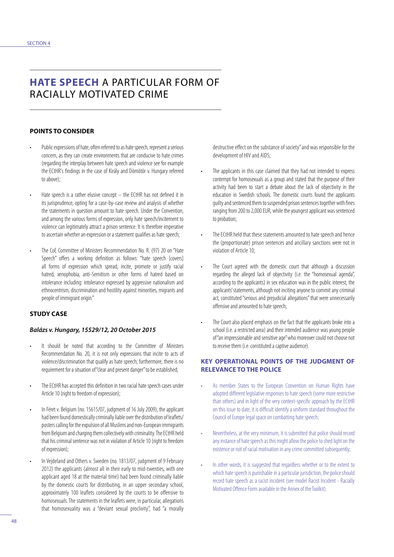# **HATE SPEECH** A PARTICULAR FORM OF RACIALLY MOTIVATED CRIME

#### **POINTS TO CONSIDER**

- Public expressions of hate, often referred to as hate speech, represent a serious concern, as they can create environments that are conducive to hate crimes (regarding the interplay between hate speech and violence see for example the ECtHR's findings in the case of Király and Dömötör v. Hungary referred to above);
- Hate speech is a rather elusive concept the ECtHR has not defined it in its jurisprudence, opting for a case-by-case review and analysis of whether the statements in question amount to hate speech. Under the Convention, and among the various forms of expression, only hate speech/incitement to violence can legitimately attract a prison sentence. It is therefore imperative to ascertain whether an expression or a statement qualifies as hate speech;
- The CoE Committee of Ministers Recommendation No. R. (97) 20 on "Hate Speech" offers a working definition as follows: "hate speech [covers] all forms of expression which spread, incite, promote or justify racial hatred, xenophobia, anti-Semitism or other forms of hatred based on intolerance including: intolerance expressed by aggressive nationalism and ethnocentrism, discrimination and hostility against minorities, migrants and people of immigrant origin."

### **STUDY CASE**

#### *Balázs v. Hungary, 15529/12, 20 October 2015*

- It should be noted that according to the Committee of Ministers Recommendation No. 20, it is not only expressions that incite to acts of violence/discrimination that qualify as hate speech; furthermore, there is no requirement for a situation of "clear and present danger" to be established;
- The ECtHR has accepted this definition in two racial hate speech cases under Article 10 (right to freedom of expression);
- In Féret v. Belgium (no. 15615/07, judgment of 16 July 2009), the applicant had been found domestically criminally liable over the distribution of leaflets/ posters calling for the expulsion of all Muslims and non-European immigrants from Belgium and charging them collectively with criminality. The ECtHR held that his criminal sentence was not in violation of Article 10 (right to freedom of expression);
- In Vejdeland and Others v. Sweden (no. 1813/07, judgment of 9 February 2012) the applicants (almost all in their early to mid-twenties, with one applicant aged 18 at the material time) had been found criminally liable by the domestic courts for distributing, in an upper secondary school, approximately 100 leaflets considered by the courts to be offensive to homosexuals. The statements in the leaflets were, in particular, allegations that homosexuality was a "deviant sexual proclivity", had "a morally

destructive effect on the substance of society" and was responsible for the development of HIV and AIDS;

- The applicants in this case claimed that they had not intended to express contempt for homosexuals as a group and stated that the purpose of their activity had been to start a debate about the lack of objectivity in the education in Swedish schools. The domestic courts found the applicants guilty and sentenced them to suspended prison sentences together with fines ranging from 200 to 2,000 EUR, while the youngest applicant was sentenced to probation;
- The ECtHR held that these statements amounted to hate speech and hence the (proportionate) prison sentences and ancillary sanctions were not in violation of Article 10;
- The Court agreed with the domestic court that although a discussion regarding the alleged lack of objectivity (i.e. the "homosexual agenda", according to the applicants) in sex education was in the public interest, the applicants' statements, although not inciting anyone to commit any criminal act, constituted "serious and prejudicial allegations" that were unnecessarily offensive and amounted to hate speech;
- The Court also placed emphasis on the fact that the applicants broke into a school (i.e. a restricted area) and their intended audience was young people of "an impressionable and sensitive age" who moreover could not choose not to receive them (i.e. constituted a captive audience).

#### **KEY OPERATIONAL POINTS OF THE JUDGMENT OF RELEVANCE TO THE POLICE**

- As member States to the European Convention on Human Rights have adopted different legislative responses to hate speech (some more restrictive than others) and in light of the very context-specific approach by the ECtHR on this issue to date, it is difficult identify a uniform standard throughout the Council of Europe legal space on combatting hate speech;
- Nevertheless, at the very minimum, it is submitted that police should record any instance of hate speech as this might allow the police to shed light on the existence or not of racial motivation in any crime committed subsequently;
- In other words, it is suggested that regardless whether or to the extent to which hate speech is punishable in a particular jurisdiction, the police should record hate speech as a racist incident (see model Racist Incident - Racially Motivated Offence Form available in the Annex of the Toolkit).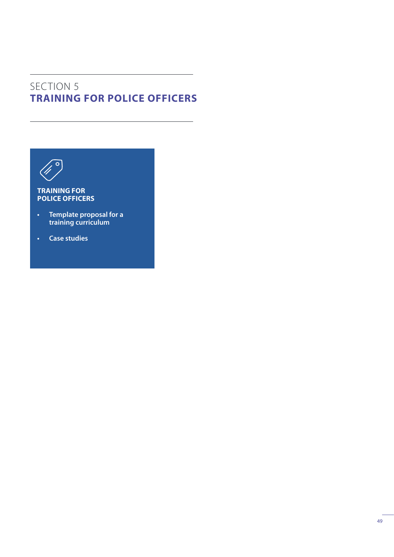# SECTION 5 **TRAINING FOR POLICE OFFICERS**



### **TRAINING FOR POLICE OFFICERS**

- **• Template proposal for a training curriculum**
- **• Case studies**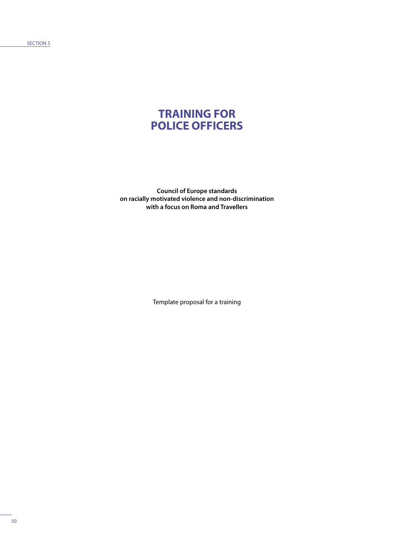SECTION 5

# **TRAINING FOR POLICE OFFICERS**

**Council of Europe standards on racially motivated violence and non-discrimination with a focus on Roma and Travellers**

Template proposal for a training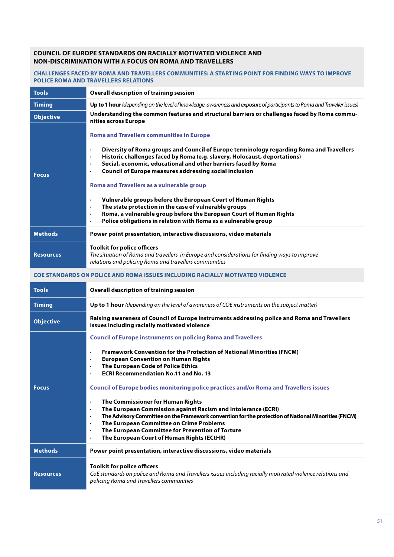#### **COUNCIL OF EUROPE STANDARDS ON RACIALLY MOTIVATED VIOLENCE AND NON-DISCRIMINATION WITH A FOCUS ON ROMA AND TRAVELLERS**

### **CHALLENGES FACED BY ROMA AND TRAVELLERS COMMUNITIES: A STARTING POINT FOR FINDING WAYS TO IMPROVE POLICE ROMA AND TRAVELLERS RELATIONS**

| <b>Tools</b>     | <b>Overall description of training session</b>                                                                                                                                                                                                                                                                                                                                                                                                                                                                                                                                                                                                                                                                                                                                           |  |  |
|------------------|------------------------------------------------------------------------------------------------------------------------------------------------------------------------------------------------------------------------------------------------------------------------------------------------------------------------------------------------------------------------------------------------------------------------------------------------------------------------------------------------------------------------------------------------------------------------------------------------------------------------------------------------------------------------------------------------------------------------------------------------------------------------------------------|--|--|
| <b>Timing</b>    | Up to 1 hour (depending on the level of knowledge, awareness and exposure of participants to Roma and Traveller issues)                                                                                                                                                                                                                                                                                                                                                                                                                                                                                                                                                                                                                                                                  |  |  |
| <b>Objective</b> | Understanding the common features and structural barriers or challenges faced by Roma commu-<br>nities across Europe                                                                                                                                                                                                                                                                                                                                                                                                                                                                                                                                                                                                                                                                     |  |  |
| <b>Focus</b>     | <b>Roma and Travellers communities in Europe</b><br>Diversity of Roma groups and Council of Europe terminology regarding Roma and Travellers<br>$\bullet$<br>Historic challenges faced by Roma (e.g. slavery, Holocaust, deportations)<br>$\bullet$<br>Social, economic, educational and other barriers faced by Roma<br>$\bullet$<br><b>Council of Europe measures addressing social inclusion</b><br>$\bullet$<br><b>Roma and Travellers as a vulnerable group</b><br>Vulnerable groups before the European Court of Human Rights<br>$\bullet$<br>The state protection in the case of vulnerable groups<br>$\bullet$<br>Roma, a vulnerable group before the European Court of Human Rights<br>$\bullet$<br>Police obligations in relation with Roma as a vulnerable group<br>$\bullet$ |  |  |
| <b>Methods</b>   | Power point presentation, interactive discussions, video materials                                                                                                                                                                                                                                                                                                                                                                                                                                                                                                                                                                                                                                                                                                                       |  |  |
| <b>Resources</b> | <b>Toolkit for police officers</b><br>The situation of Roma and travellers in Europe and considerations for finding ways to improve<br>relations and policing Roma and travellers communities                                                                                                                                                                                                                                                                                                                                                                                                                                                                                                                                                                                            |  |  |
|                  | COE STANDARDS ON POLICE AND ROMA ISSUES INCLUDING RACIALLY MOTIVATED VIOLENCE                                                                                                                                                                                                                                                                                                                                                                                                                                                                                                                                                                                                                                                                                                            |  |  |
| <b>Tools</b>     | <b>Overall description of training session</b>                                                                                                                                                                                                                                                                                                                                                                                                                                                                                                                                                                                                                                                                                                                                           |  |  |
| <b>Timing</b>    | Up to 1 hour (depending on the level of awareness of COE instruments on the subject matter)                                                                                                                                                                                                                                                                                                                                                                                                                                                                                                                                                                                                                                                                                              |  |  |
| <b>Objective</b> | Raising awareness of Council of Europe instruments addressing police and Roma and Travellers<br>issues including racially motivated violence                                                                                                                                                                                                                                                                                                                                                                                                                                                                                                                                                                                                                                             |  |  |
|                  | <b>Council of Europe instruments on policing Roma and Travellers</b>                                                                                                                                                                                                                                                                                                                                                                                                                                                                                                                                                                                                                                                                                                                     |  |  |
| <b>Focus</b>     | <b>Framework Convention for the Protection of National Minorities (FNCM)</b><br>$\bullet$<br><b>European Convention on Human Rights</b><br>$\bullet$<br>The European Code of Police Ethics<br>$\bullet$<br><b>ECRI Recommendation No.11 and No. 13</b><br>$\bullet$<br>Council of Europe bodies monitoring police practices and/or Roma and Travellers issues<br>The Commissioner for Human Rights<br>$\bullet$                                                                                                                                                                                                                                                                                                                                                                          |  |  |
|                  | The European Commission against Racism and Intolerance (ECRI)<br>$\bullet$<br>The Advisory Committee on the Framework convention for the protection of National Minorities (FNCM)<br>$\bullet$<br>The European Committee on Crime Problems<br>$\bullet$<br>The European Committee for Prevention of Torture<br>$\bullet$<br>The European Court of Human Rights (ECtHR)<br>$\bullet$                                                                                                                                                                                                                                                                                                                                                                                                      |  |  |
| <b>Methods</b>   | Power point presentation, interactive discussions, video materials                                                                                                                                                                                                                                                                                                                                                                                                                                                                                                                                                                                                                                                                                                                       |  |  |
|                  | <b>Toolkit for police officers</b>                                                                                                                                                                                                                                                                                                                                                                                                                                                                                                                                                                                                                                                                                                                                                       |  |  |

**Resources**

*CoE standards on police and Roma and Travellers issues including racially motivated violence relations and policing Roma and Travellers communities*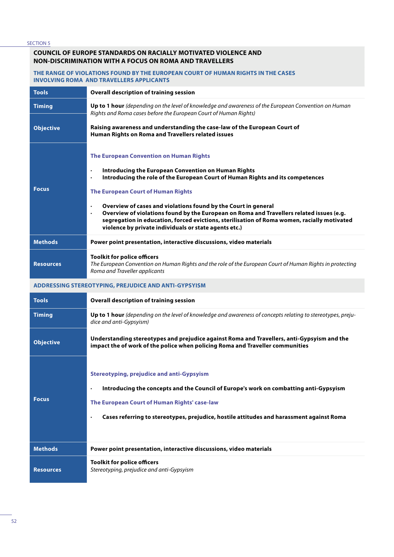SECTION 5

#### **COUNCIL OF EUROPE STANDARDS ON RACIALLY MOTIVATED VIOLENCE AND NON-DISCRIMINATION WITH A FOCUS ON ROMA AND TRAVELLERS**

#### **THE RANGE OF VIOLATIONS FOUND BY THE EUROPEAN COURT OF HUMAN RIGHTS IN THE CASES INVOLVING ROMA AND TRAVELLERS APPLICANTS**

| <b>Tools</b>                                         | <b>Overall description of training session</b>                                                                                                                                                                                                                                                                                                                                                                                                                                                                                                                                                                 |  |  |
|------------------------------------------------------|----------------------------------------------------------------------------------------------------------------------------------------------------------------------------------------------------------------------------------------------------------------------------------------------------------------------------------------------------------------------------------------------------------------------------------------------------------------------------------------------------------------------------------------------------------------------------------------------------------------|--|--|
| <b>Timing</b>                                        | Up to 1 hour (depending on the level of knowledge and awareness of the European Convention on Human<br>Rights and Roma cases before the European Court of Human Rights)                                                                                                                                                                                                                                                                                                                                                                                                                                        |  |  |
| <b>Objective</b>                                     | Raising awareness and understanding the case-law of the European Court of<br>Human Rights on Roma and Travellers related issues                                                                                                                                                                                                                                                                                                                                                                                                                                                                                |  |  |
| <b>Focus</b>                                         | <b>The European Convention on Human Rights</b><br>Introducing the European Convention on Human Rights<br>$\bullet$<br>Introducing the role of the European Court of Human Rights and its competences<br>$\bullet$<br><b>The European Court of Human Rights</b><br>Overview of cases and violations found by the Court in general<br>$\bullet$<br>Overview of violations found by the European on Roma and Travellers related issues (e.g.<br>$\bullet$<br>segregation in education, forced evictions, sterilisation of Roma women, racially motivated<br>violence by private individuals or state agents etc.) |  |  |
| <b>Methods</b>                                       | Power point presentation, interactive discussions, video materials                                                                                                                                                                                                                                                                                                                                                                                                                                                                                                                                             |  |  |
| <b>Resources</b>                                     | <b>Toolkit for police officers</b><br>The European Convention on Human Rights and the role of the European Court of Human Rights in protecting<br>Roma and Traveller applicants                                                                                                                                                                                                                                                                                                                                                                                                                                |  |  |
| ADDRESSING STEREOTYPING, PREJUDICE AND ANTI-GYPSYISM |                                                                                                                                                                                                                                                                                                                                                                                                                                                                                                                                                                                                                |  |  |
| <b>Tools</b>                                         | <b>Overall description of training session</b>                                                                                                                                                                                                                                                                                                                                                                                                                                                                                                                                                                 |  |  |
| <b>Timing</b>                                        | Up to 1 hour (depending on the level of knowledge and awareness of concepts relating to stereotypes, preju-<br>dice and anti-Gypsyism)                                                                                                                                                                                                                                                                                                                                                                                                                                                                         |  |  |
| <b>Objective</b>                                     | Understanding stereotypes and prejudice against Roma and Travellers, anti-Gypsyism and the<br>impact the of work of the police when policing Roma and Traveller communities                                                                                                                                                                                                                                                                                                                                                                                                                                    |  |  |
| <b>Focus</b>                                         | <b>Stereotyping, prejudice and anti-Gypsyism</b><br>Introducing the concepts and the Council of Europe's work on combatting anti-Gypsyism<br>$\bullet$<br>The European Court of Human Rights' case-law<br>Cases referring to stereotypes, prejudice, hostile attitudes and harassment against Roma<br>$\bullet$                                                                                                                                                                                                                                                                                                |  |  |
| <b>Methods</b>                                       | Power point presentation, interactive discussions, video materials                                                                                                                                                                                                                                                                                                                                                                                                                                                                                                                                             |  |  |
| <b>Resources</b>                                     | <b>Toolkit for police officers</b><br>Stereotyping, prejudice and anti-Gypsyism                                                                                                                                                                                                                                                                                                                                                                                                                                                                                                                                |  |  |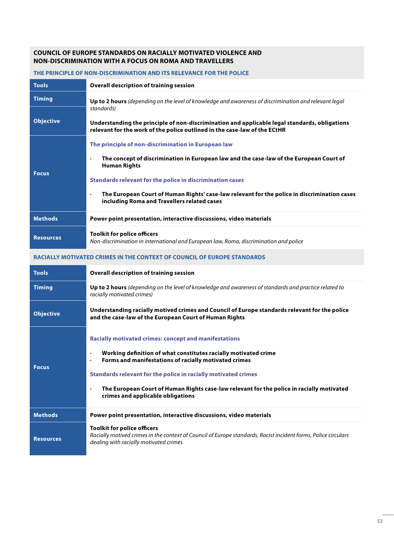#### **COUNCIL OF EUROPE STANDARDS ON RACIALLY MOTIVATED VIOLENCE AND NON-DISCRIMINATION WITH A FOCUS ON ROMA AND TRAVELLERS**

#### **THE PRINCIPLE OF NON-DISCRIMINATION AND ITS RELEVANCE FOR THE POLICE**

| <b>Tools</b>     | <b>Overall description of training session</b>                                                                                                                                                                                                                                                                                                                                                              |  |  |
|------------------|-------------------------------------------------------------------------------------------------------------------------------------------------------------------------------------------------------------------------------------------------------------------------------------------------------------------------------------------------------------------------------------------------------------|--|--|
| <b>Timing</b>    | <b>Up to 2 hours</b> (depending on the level of knowledge and awareness of discrimination and relevant legal                                                                                                                                                                                                                                                                                                |  |  |
| <b>Objective</b> | standards)<br>Understanding the principle of non-discrimination and applicable legal standards, obligations<br>relevant for the work of the police outlined in the case-law of the ECtHR                                                                                                                                                                                                                    |  |  |
| <b>Focus</b>     | The principle of non-discrimination in European law<br>The concept of discrimination in European law and the case-law of the European Court of<br>$\bullet$<br><b>Human Rights</b><br>Standards relevant for the police in discrimination cases<br>The European Court of Human Rights' case-law relevant for the police in discrimination cases<br>$\bullet$<br>including Roma and Travellers related cases |  |  |
| <b>Methods</b>   | Power point presentation, interactive discussions, video materials                                                                                                                                                                                                                                                                                                                                          |  |  |
| <b>Resources</b> | <b>Toolkit for police officers</b><br>Non-discrimination in international and European law, Roma, discrimination and police                                                                                                                                                                                                                                                                                 |  |  |

### **RACIALLY MOTIVATED CRIMES IN THE CONTEXT OF COUNCIL OF EUROPE STANDARDS**

| <b>Tools</b>     | <b>Overall description of training session</b>                                                                                                                                                                                                                                                                                                                                                                                      |
|------------------|-------------------------------------------------------------------------------------------------------------------------------------------------------------------------------------------------------------------------------------------------------------------------------------------------------------------------------------------------------------------------------------------------------------------------------------|
| <b>Timing</b>    | <b>Up to 2 hours</b> (depending on the level of knowledge and awareness of standards and practice related to<br>racially motivated crimes)                                                                                                                                                                                                                                                                                          |
| <b>Objective</b> | Understanding racially motived crimes and Council of Europe standards relevant for the police<br>and the case-law of the European Court of Human Rights                                                                                                                                                                                                                                                                             |
| <b>Focus</b>     | <b>Racially motivated crimes: concept and manifestations</b><br>Working definition of what constitutes racially motivated crime<br>$\bullet$<br>Forms and manifestations of racially motivated crimes<br>$\bullet$<br>Standards relevant for the police in racially motivated crimes<br>The European Court of Human Rights case-law relevant for the police in racially motivated<br>$\bullet$<br>crimes and applicable obligations |
| <b>Methods</b>   | Power point presentation, interactive discussions, video materials                                                                                                                                                                                                                                                                                                                                                                  |
| <b>Resources</b> | <b>Toolkit for police officers</b><br>Racially motived crimes in the context of Council of Europe standards, Racist incident forms, Police circulars<br>dealing with racially motivated crimes                                                                                                                                                                                                                                      |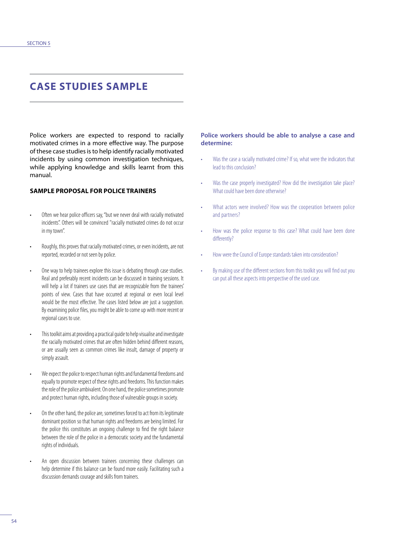# **CASE STUDIES SAMPLE**

Police workers are expected to respond to racially motivated crimes in a more effective way. The purpose of these case studies is to help identify racially motivated incidents by using common investigation techniques, while applying knowledge and skills learnt from this manual.

#### **SAMPLE PROPOSAL FOR POLICE TRAINERS**

- Often we hear police officers say, "but we never deal with racially motivated incidents". Others will be convinced "racially motivated crimes do not occur in my town".
- Roughly, this proves that racially motivated crimes, or even incidents, are not reported, recorded or not seen by police.
- One way to help trainees explore this issue is debating through case studies. Real and preferably recent incidents can be discussed in training sessions. It will help a lot if trainers use cases that are recognizable from the trainees' points of view. Cases that have occurred at regional or even local level would be the most effective. The cases listed below are just a suggestion. By examining police files, you might be able to come up with more recent or regional cases to use.
- This toolkit aims at providing a practical guide to help visualise and investigate the racially motivated crimes that are often hidden behind different reasons, or are usually seen as common crimes like insult, damage of property or simply assault.
- We expect the police to respect human rights and fundamental freedoms and equally to promote respect of these rights and freedoms. This function makes the role of the police ambivalent. On one hand, the police sometimes promote and protect human rights, including those of vulnerable groups in society.
- On the other hand, the police are, sometimes forced to act from its legitimate dominant position so that human rights and freedoms are being limited. For the police this constitutes an ongoing challenge to find the right balance between the role of the police in a democratic society and the fundamental rights of individuals.
- An open discussion between trainees concerning these challenges can help determine if this balance can be found more easily. Facilitating such a discussion demands courage and skills from trainers.

#### **Police workers should be able to analyse a case and determine:**

- Was the case a racially motivated crime? If so, what were the indicators that lead to this conclusion?
- Was the case properly investigated? How did the investigation take place? What could have been done otherwise?
- What actors were involved? How was the cooperation between police and partners?
- How was the police response to this case? What could have been done differently?
- How were the Council of Europe standards taken into consideration?
- By making use of the different sections from this toolkit you will find out you can put all these aspects into perspective of the used case.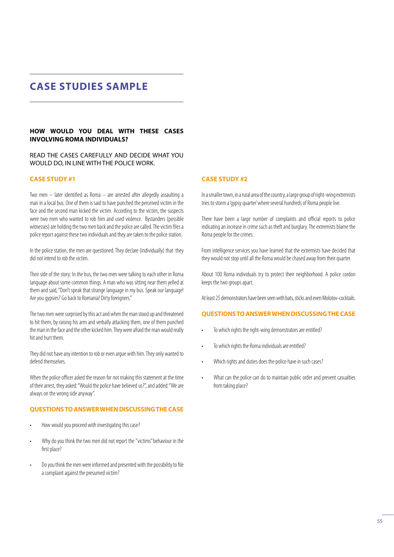### **CASE STUDIES SAMPLE**

#### **HOW WOULD YOU DEAL WITH THESE CASES INVOLVING ROMA INDIVIDUALS?**

#### READ THE CASES CAREFULLY AND DECIDE WHAT YOU WOULD DO, IN LINE WITH THE POLICE WORK.

#### **CASE STUDY #1**

Two men – later identified as Roma – are arrested after allegedly assaulting a man in a local bus. One of them is said to have punched the perceived victim in the face and the second man kicked the victim. According to the victim, the suspects were two men who wanted to rob him and used violence. Bystanders (possible witnesses) are holding the two men back and the police are called. The victim files a police report against these two individuals and they are taken to the police station.

In the police station, the men are questioned. They declare (individually) that they did not intend to rob the victim.

Their side of the story: In the bus, the two men were talking to each other in Roma language about some common things. A man who was sitting near them yelled at them and said, "Don't speak that strange language in my bus. Speak our language! Are you gypsies? Go back to Romania! Dirty foreigners."

The two men were surprised by this act and when the man stood up and threatened to hit them, by raising his arm and verbally attacking them, one of them punched the man in the face and the other kicked him. They were afraid the man would really hit and hurt them.

They did not have any intention to rob or even argue with him. They only wanted to defend themselves.

When the police officer asked the reason for not making this statement at the time of their arrest, they asked: "Would the police have believed us?", and added: "We are always on the wrong side anyway".

#### **QUESTIONS TO ANSWER WHEN DISCUSSING THE CASE**

- How would you proceed with investigating this case?
- Why do you think the two men did not report the "victims'' behaviour in the first place?
- Do you think the men were informed and presented with the possibility to file a complaint against the presumed victim?

### **CASE STUDY #2**

In a smaller town, in a rural area of the country, a large group of right-wing extremists tries to storm a 'gypsy quarter' where several hundreds of Roma people live.

There have been a large number of complaints and official reports to police indicating an increase in crime such as theft and burglary. The extremists blame the Roma people for the crimes.

From intelligence services you have learned that the extremists have decided that they would not stop until all the Roma would be chased away from their quarter.

About 100 Roma individuals try to protect their neighborhood. A police cordon keeps the two groups apart.

At least 25 demonstrators have been seen with bats, sticks and even Molotov-cocktails.

#### **QUESTIONS TO ANSWER WHEN DISCUSSING THE CASE**

- To which rights the right-wing demonstrators are entitled?
- To which rights the Roma individuals are entitled?
- Which rights and duties does the police have in such cases?
- What can the police can do to maintain public order and prevent casualties from taking place?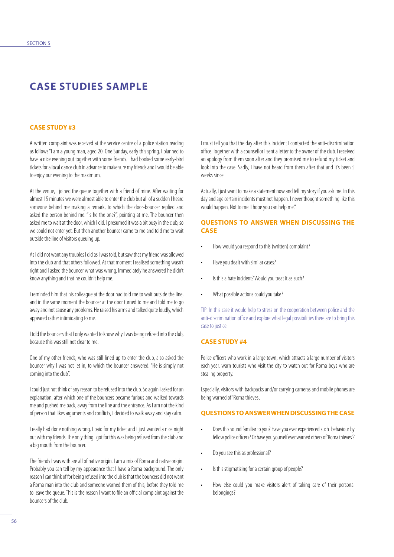## **CASE STUDIES SAMPLE**

#### **CASE STUDY #3**

A written complaint was received at the service centre of a police station reading as follows "I am a young man, aged 20. One Sunday, early this spring, I planned to have a nice evening out together with some friends. I had booked some early-bird tickets for a local dance club in advance to make sure my friends and I would be able to enjoy our evening to the maximum.

At the venue, I joined the queue together with a friend of mine. After waiting for almost 15 minutes we were almost able to enter the club but all of a sudden I heard someone behind me making a remark, to which the door-bouncer replied and asked the person behind me: "Is he the one?", pointing at me. The bouncer then asked me to wait at the door, which I did. I presumed it was a bit busy in the club, so we could not enter yet. But then another bouncer came to me and told me to wait outside the line of visitors queuing up.

As I did not want any troubles I did as I was told, but saw that my friend was allowed into the club and that others followed. At that moment I realised something wasn't right and I asked the bouncer what was wrong. Immediately he answered he didn't know anything and that he couldn't help me.

I reminded him that his colleague at the door had told me to wait outside the line, and in the same moment the bouncer at the door turned to me and told me to go away and not cause any problems. He raised his arms and talked quite loudly, which appeared rather intimidating to me.

I told the bouncers that I only wanted to know why I was being refused into the club, because this was still not clear to me.

One of my other friends, who was still lined up to enter the club, also asked the bouncer why I was not let in, to which the bouncer answered: "He is simply not coming into the club".

I could just not think of any reason to be refused into the club. So again I asked for an explanation, after which one of the bouncers became furious and walked towards me and pushed me back, away from the line and the entrance. As I am not the kind of person that likes arguments and conflicts, I decided to walk away and stay calm.

I really had done nothing wrong, I paid for my ticket and I just wanted a nice night out with my friends. The only thing I got for this was being refused from the club and a big mouth from the bouncer.

The friends I was with are all of native origin. I am a mix of Roma and native origin. Probably you can tell by my appearance that I have a Roma background. The only reason I can think of for being refused into the club is that the bouncers did not want a Roma man into the club and someone warned them of this, before they told me to leave the queue. This is the reason I want to file an official complaint against the bouncers of the club.

I must tell you that the day after this incident I contacted the anti-discrimination office. Together with a counsellor I sent a letter to the owner of the club. I received an apology from them soon after and they promised me to refund my ticket and look into the case. Sadly, I have not heard from them after that and it's been 5 weeks since.

Actually, I just want to make a statement now and tell my story if you ask me. In this day and age certain incidents must not happen. I never thought something like this would happen. Not to me. I hope you can help me."

#### **QUESTIONS TO ANSWER WHEN DISCUSSING THE CASE**

- How would you respond to this (written) complaint?
- Have you dealt with similar cases?
- Is this a hate incident? Would you treat it as such?
- What possible actions could you take?

TIP: In this case it would help to stress on the cooperation between police and the anti-discrimination office and explore what legal possibilities there are to bring this case to justice.

#### **CASE STUDY #4**

Police officers who work in a large town, which attracts a large number of visitors each year, warn tourists who visit the city to watch out for Roma boys who are stealing property.

Especially, visitors with backpacks and/or carrying cameras and mobile phones are being warned of 'Roma thieves'.

#### **QUESTIONS TO ANSWER WHEN DISCUSSING THE CASE**

- Does this sound familiar to you? Have you ever experienced such behaviour by fellow police officers? Or have you yourself ever warned others of 'Roma thieves'?
- Do you see this as professional?
- Is this stigmatizing for a certain group of people?
- How else could you make visitors alert of taking care of their personal belongings?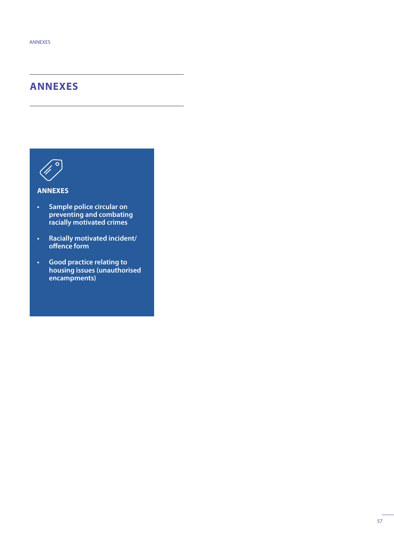# **ANNEXES**



### **ANNEXES**

- **• Sample police circular on preventing and combating racially motivated crimes**
- **• Racially motivated incident/ offence form**
- **• Good practice relating to housing issues (unauthorised encampments)**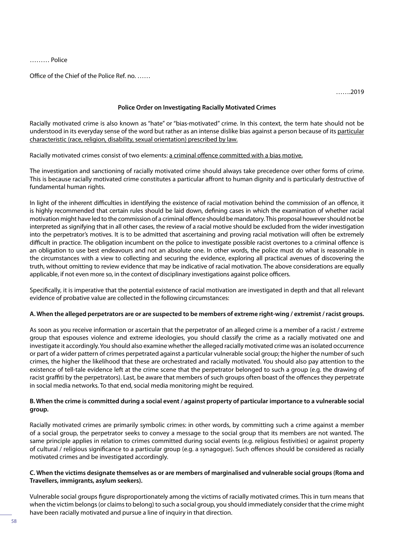……… Police

Office of the Chief of the Police Ref. no. ……

…….2019

#### **Police Order on Investigating Racially Motivated Crimes**

Racially motivated crime is also known as "hate" or "bias-motivated" crime. In this context, the term hate should not be understood in its everyday sense of the word but rather as an intense dislike bias against a person because of its particular characteristic (race, religion, disability, sexual orientation) prescribed by law.

Racially motivated crimes consist of two elements: a criminal offence committed with a bias motive.

The investigation and sanctioning of racially motivated crime should always take precedence over other forms of crime. This is because racially motivated crime constitutes a particular affront to human dignity and is particularly destructive of fundamental human rights.

In light of the inherent difficulties in identifying the existence of racial motivation behind the commission of an offence, it is highly recommended that certain rules should be laid down, defining cases in which the examination of whether racial motivation might have led to the commission of a criminal offence should be mandatory. This proposal however should not be interpreted as signifying that in all other cases, the review of a racial motive should be excluded from the wider investigation into the perpetrator's motives. It is to be admitted that ascertaining and proving racial motivation will often be extremely difficult in practice. The obligation incumbent on the police to investigate possible racist overtones to a criminal offence is an obligation to use best endeavours and not an absolute one. In other words, the police must do what is reasonable in the circumstances with a view to collecting and securing the evidence, exploring all practical avenues of discovering the truth, without omitting to review evidence that may be indicative of racial motivation. The above considerations are equally applicable, if not even more so, in the context of disciplinary investigations against police officers.

Specifically, it is imperative that the potential existence of racial motivation are investigated in depth and that all relevant evidence of probative value are collected in the following circumstances:

#### **A. When the alleged perpetrators are or are suspected to be members of extreme right-wing / extremist / racist groups.**

As soon as you receive information or ascertain that the perpetrator of an alleged crime is a member of a racist / extreme group that espouses violence and extreme ideologies, you should classify the crime as a racially motivated one and investigate it accordingly. You should also examine whether the alleged racially motivated crime was an isolated occurrence or part of a wider pattern of crimes perpetrated against a particular vulnerable social group; the higher the number of such crimes, the higher the likelihood that these are orchestrated and racially motivated. You should also pay attention to the existence of tell-tale evidence left at the crime scene that the perpetrator belonged to such a group (e.g. the drawing of racist graffiti by the perpetrators). Last, be aware that members of such groups often boast of the offences they perpetrate in social media networks. To that end, social media monitoring might be required.

#### **B. When the crime is committed during a social event / against property of particular importance to a vulnerable social group.**

Racially motivated crimes are primarily symbolic crimes: in other words, by committing such a crime against a member of a social group, the perpetrator seeks to convey a message to the social group that its members are not wanted. The same principle applies in relation to crimes committed during social events (e.g. religious festivities) or against property of cultural / religious significance to a particular group (e.g. a synagogue). Such offences should be considered as racially motivated crimes and be investigated accordingly.

#### **C. When the victims designate themselves as or are members of marginalised and vulnerable social groups (Roma and Travellers, immigrants, asylum seekers).**

Vulnerable social groups figure disproportionately among the victims of racially motivated crimes. This in turn means that when the victim belongs (or claims to belong) to such a social group, you should immediately consider that the crime might have been racially motivated and pursue a line of inquiry in that direction.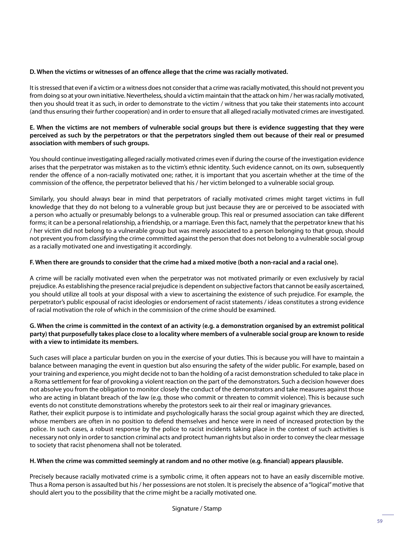### **D. When the victims or witnesses of an offence allege that the crime was racially motivated.**

It is stressed that even if a victim or a witness does not consider that a crime was racially motivated, this should not prevent you from doing so at your own initiative. Nevertheless, should a victim maintain that the attack on him / her was racially motivated, then you should treat it as such, in order to demonstrate to the victim / witness that you take their statements into account (and thus ensuring their further cooperation) and in order to ensure that all alleged racially motivated crimes are investigated.

#### **E. When the victims are not members of vulnerable social groups but there is evidence suggesting that they were perceived as such by the perpetrators or that the perpetrators singled them out because of their real or presumed association with members of such groups.**

You should continue investigating alleged racially motivated crimes even if during the course of the investigation evidence arises that the perpetrator was mistaken as to the victim's ethnic identity. Such evidence cannot, on its own, subsequently render the offence of a non-racially motivated one; rather, it is important that you ascertain whether at the time of the commission of the offence, the perpetrator believed that his / her victim belonged to a vulnerable social group.

Similarly, you should always bear in mind that perpetrators of racially motivated crimes might target victims in full knowledge that they do not belong to a vulnerable group but just because they are or perceived to be associated with a person who actually or presumably belongs to a vulnerable group. This real or presumed association can take different forms; it can be a personal relationship, a friendship, or a marriage. Even this fact, namely that the perpetrator knew that his / her victim did not belong to a vulnerable group but was merely associated to a person belonging to that group, should not prevent you from classifying the crime committed against the person that does not belong to a vulnerable social group as a racially motivated one and investigating it accordingly.

### **F. When there are grounds to consider that the crime had a mixed motive (both a non-racial and a racial one).**

A crime will be racially motivated even when the perpetrator was not motivated primarily or even exclusively by racial prejudice. As establishing the presence racial prejudice is dependent on subjective factors that cannot be easily ascertained, you should utilize all tools at your disposal with a view to ascertaining the existence of such prejudice. For example, the perpetrator's public espousal of racist ideologies or endorsement of racist statements / ideas constitutes a strong evidence of racial motivation the role of which in the commission of the crime should be examined.

### **G. When the crime is committed in the context of an activity (e.g. a demonstration organised by an extremist political party) that purposefully takes place close to a locality where members of a vulnerable social group are known to reside with a view to intimidate its members.**

Such cases will place a particular burden on you in the exercise of your duties. This is because you will have to maintain a balance between managing the event in question but also ensuring the safety of the wider public. For example, based on your training and experience, you might decide not to ban the holding of a racist demonstration scheduled to take place in a Roma settlement for fear of provoking a violent reaction on the part of the demonstrators. Such a decision however does not absolve you from the obligation to monitor closely the conduct of the demonstrators and take measures against those who are acting in blatant breach of the law (e.g. those who commit or threaten to commit violence). This is because such events do not constitute demonstrations whereby the protestors seek to air their real or imaginary grievances. Rather, their explicit purpose is to intimidate and psychologically harass the social group against which they are directed, whose members are often in no position to defend themselves and hence were in need of increased protection by the police. In such cases, a robust response by the police to racist incidents taking place in the context of such activities is necessary not only in order to sanction criminal acts and protect human rights but also in order to convey the clear message to society that racist phenomena shall not be tolerated.

### **H. When the crime was committed seemingly at random and no other motive (e.g. financial) appears plausible.**

Precisely because racially motivated crime is a symbolic crime, it often appears not to have an easily discernible motive. Thus a Roma person is assaulted but his / her possessions are not stolen. It is precisely the absence of a "logical" motive that should alert you to the possibility that the crime might be a racially motivated one.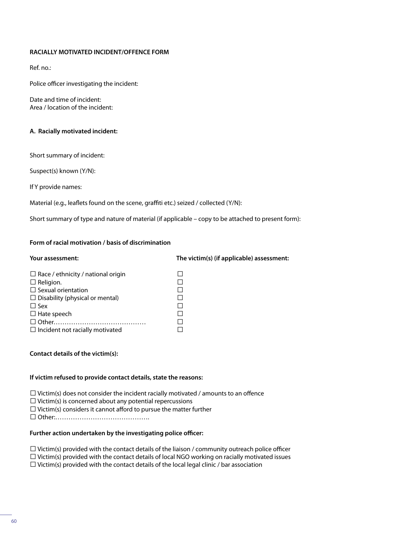#### **RACIALLY MOTIVATED INCIDENT/OFFENCE FORM**

Ref. no.:

Police officer investigating the incident:

Date and time of incident: Area / location of the incident:

#### **A. Racially motivated incident:**

Short summary of incident:

Suspect(s) known (Y/N):

If Y provide names:

Material (e.g., leaflets found on the scene, graffiti etc.) seized / collected (Y/N):

Short summary of type and nature of material (if applicable – copy to be attached to present form):

#### **Form of racial motivation / basis of discrimination**

### **Your assessment: The victim(s) (if applicable) assessment:**  $\Box$  Race / ethnicity / national origin  $\Box$  $\Box$  Religion.  $\Box$ ☐ Sexual orientation ☐  $\Box$  Disability (physical or mental)  $\Box$  $\Box$  Sex  $\Box$  $\Box$  Hate speech  $\Box$ ☐ Other…………………………………… ☐  $□$  Incident not racially motivated

#### **Contact details of the victim(s):**

#### **If victim refused to provide contact details, state the reasons:**

 $\Box$  Victim(s) does not consider the incident racially motivated / amounts to an offence

 $\Box$  Victim(s) is concerned about any potential repercussions

 $\Box$  Victim(s) considers it cannot afford to pursue the matter further

☐ Other:…………………………………….

#### **Further action undertaken by the investigating police officer:**

 $\Box$  Victim(s) provided with the contact details of the liaison / community outreach police officer

 $\Box$  Victim(s) provided with the contact details of local NGO working on racially motivated issues

 $\Box$  Victim(s) provided with the contact details of the local legal clinic / bar association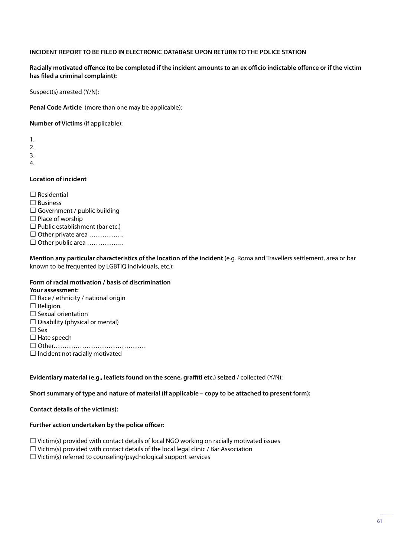#### **INCIDENT REPORT TO BE FILED IN ELECTRONIC DATABASE UPON RETURN TO THE POLICE STATION**

#### **Racially motivated offence (to be completed if the incident amounts to an ex officio indictable offence or if the victim has filed a criminal complaint):**

Suspect(s) arrested (Y/N):

**Penal Code Article** (more than one may be applicable):

**Number of Victims** (if applicable):

1. 2.

3.

4.

### **Location of incident**

 $\Box$  Residential □ Business  $\Box$  Government / public building  $\Box$  Place of worship  $\Box$  Public establishment (bar etc.) ☐ Other private area ……………. □ Other public area ………………

**Mention any particular characteristics of the location of the incident** (e.g. Roma and Travellers settlement, area or bar known to be frequented by LGBTIQ individuals, etc.):

### **Form of racial motivation / basis of discrimination**

#### **Your assessment:**

- $\Box$  Race / ethnicity / national origin
- □ Religion.
- □ Sexual orientation
- $\Box$  Disability (physical or mental)
- ☐ Sex
- □ Hate speech

☐ Other……………………………………

 $\Box$  Incident not racially motivated

#### **Evidentiary material (e.g., leaflets found on the scene, graffiti etc.) seized** / collected (Y/N):

#### **Short summary of type and nature of material (if applicable – copy to be attached to present form):**

#### **Contact details of the victim(s):**

#### **Further action undertaken by the police officer:**

 $\Box$  Victim(s) provided with contact details of local NGO working on racially motivated issues

 $\Box$  Victim(s) provided with contact details of the local legal clinic / Bar Association

☐ Victim(s) referred to counseling/psychological support services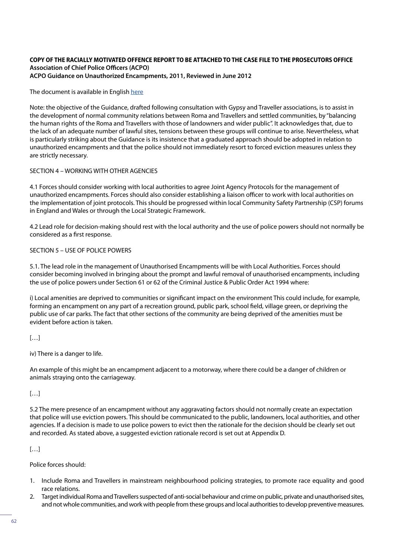#### **COPY OF THE RACIALLY MOTIVATED OFFENCE REPORT TO BE ATTACHED TO THE CASE FILE TO THE PROSECUTORS OFFICE Association of Chief Police Officers (ACPO) ACPO Guidance on Unauthorized Encampments, 2011, Reviewed in June 2012**

The document is available in English [here](http://archive.derbyshire.police.uk/Documents/About-Us/Freedom-of-Information/Policies/UnauthorisedEncampments.pdf)

Note: the objective of the Guidance, drafted following consultation with Gypsy and Traveller associations, is to assist in the development of normal community relations between Roma and Travellers and settled communities, by "balancing the human rights of the Roma and Travellers with those of landowners and wider public". It acknowledges that, due to the lack of an adequate number of lawful sites, tensions between these groups will continue to arise. Nevertheless, what is particularly striking about the Guidance is its insistence that a graduated approach should be adopted in relation to unauthorized encampments and that the police should not immediately resort to forced eviction measures unless they are strictly necessary.

### SECTION 4 – WORKING WITH OTHER AGENCIES

4.1 Forces should consider working with local authorities to agree Joint Agency Protocols for the management of unauthorized encampments. Forces should also consider establishing a liaison officer to work with local authorities on the implementation of joint protocols. This should be progressed within local Community Safety Partnership (CSP) forums in England and Wales or through the Local Strategic Framework.

4.2 Lead role for decision-making should rest with the local authority and the use of police powers should not normally be considered as a first response.

#### SECTION 5 – USE OF POLICE POWERS

5.1. The lead role in the management of Unauthorised Encampments will be with Local Authorities. Forces should consider becoming involved in bringing about the prompt and lawful removal of unauthorised encampments, including the use of police powers under Section 61 or 62 of the Criminal Justice & Public Order Act 1994 where:

i) Local amenities are deprived to communities or significant impact on the environment This could include, for example, forming an encampment on any part of a recreation ground, public park, school field, village green, or depriving the public use of car parks. The fact that other sections of the community are being deprived of the amenities must be evident before action is taken.

 $[...]$ 

iv) There is a danger to life.

An example of this might be an encampment adjacent to a motorway, where there could be a danger of children or animals straying onto the carriageway.

[…]

5.2 The mere presence of an encampment without any aggravating factors should not normally create an expectation that police will use eviction powers. This should be communicated to the public, landowners, local authorities, and other agencies. If a decision is made to use police powers to evict then the rationale for the decision should be clearly set out and recorded. As stated above, a suggested eviction rationale record is set out at Appendix D.

[…]

Police forces should:

- 1. Include Roma and Travellers in mainstream neighbourhood policing strategies, to promote race equality and good race relations.
- 2. Target individual Roma and Travellers suspected of anti-social behaviour and crime on public, private and unauthorised sites, and not whole communities, and work with people from these groups and local authorities to develop preventive measures.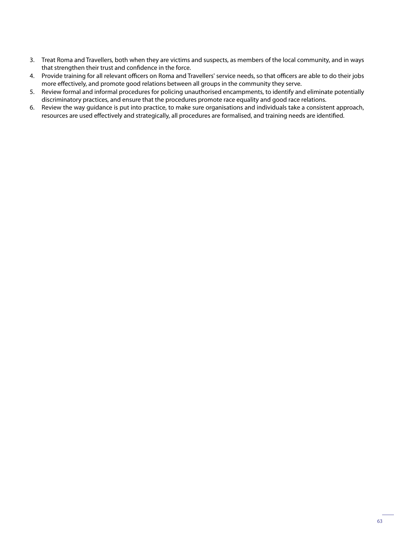- 3. Treat Roma and Travellers, both when they are victims and suspects, as members of the local community, and in ways that strengthen their trust and confidence in the force.
- 4. Provide training for all relevant officers on Roma and Travellers' service needs, so that officers are able to do their jobs more effectively, and promote good relations between all groups in the community they serve.
- 5. Review formal and informal procedures for policing unauthorised encampments, to identify and eliminate potentially discriminatory practices, and ensure that the procedures promote race equality and good race relations.
- 6. Review the way guidance is put into practice, to make sure organisations and individuals take a consistent approach, resources are used effectively and strategically, all procedures are formalised, and training needs are identified.